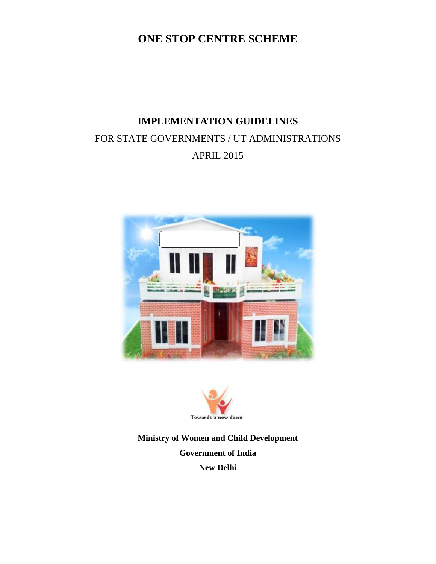### **ONE STOP CENTRE SCHEME**

# **IMPLEMENTATION GUIDELINES**  FOR STATE GOVERNMENTS / UT ADMINISTRATIONS APRIL 2015





**Ministry of Women and Child Development Government of India New Delhi**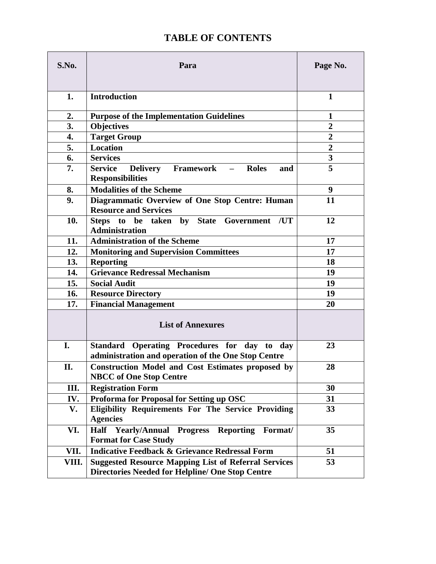### **TABLE OF CONTENTS**

| S.No. | Para                                                                                                                   | Page No.                |
|-------|------------------------------------------------------------------------------------------------------------------------|-------------------------|
|       |                                                                                                                        |                         |
| 1.    | <b>Introduction</b>                                                                                                    | $\mathbf{1}$            |
| 2.    | <b>Purpose of the Implementation Guidelines</b>                                                                        | 1                       |
| 3.    | <b>Objectives</b>                                                                                                      | $\overline{2}$          |
| 4.    | <b>Target Group</b>                                                                                                    | $\overline{2}$          |
| 5.    | <b>Location</b>                                                                                                        | $\overline{2}$          |
| 6.    | <b>Services</b>                                                                                                        | $\overline{\mathbf{3}}$ |
| 7.    | <b>Service</b><br><b>Delivery Framework</b><br>Roles<br>$\overline{\phantom{m}}$<br>and<br><b>Responsibilities</b>     | 5                       |
| 8.    | <b>Modalities of the Scheme</b>                                                                                        | 9                       |
| 9.    | Diagrammatic Overview of One Stop Centre: Human<br><b>Resource and Services</b>                                        | 11                      |
| 10.   | Steps to be taken by State<br>Government /UT<br><b>Administration</b>                                                  | 12                      |
| 11.   | <b>Administration of the Scheme</b>                                                                                    | 17                      |
| 12.   | <b>Monitoring and Supervision Committees</b>                                                                           | 17                      |
| 13.   | <b>Reporting</b>                                                                                                       | 18                      |
| 14.   | <b>Grievance Redressal Mechanism</b>                                                                                   | 19                      |
| 15.   | <b>Social Audit</b>                                                                                                    | 19                      |
| 16.   | <b>Resource Directory</b>                                                                                              | 19                      |
| 17.   | <b>Financial Management</b>                                                                                            | 20                      |
|       | <b>List of Annexures</b>                                                                                               |                         |
| I.    | Standard Operating Procedures for day to day<br>administration and operation of the One Stop Centre                    | 23                      |
| II.   | <b>Construction Model and Cost Estimates proposed by</b><br><b>NBCC</b> of One Stop Centre                             | 28                      |
| Ш.    | <b>Registration Form</b>                                                                                               | 30                      |
| IV.   | Proforma for Proposal for Setting up OSC                                                                               | 31                      |
| V.    | <b>Eligibility Requirements For The Service Providing</b><br><b>Agencies</b>                                           | 33                      |
| VI.   | Half Yearly/Annual<br><b>Progress</b><br>Reporting<br>Format/<br><b>Format for Case Study</b>                          | 35                      |
| VII.  | <b>Indicative Feedback &amp; Grievance Redressal Form</b>                                                              | 51                      |
| VIII. | <b>Suggested Resource Mapping List of Referral Services</b><br><b>Directories Needed for Helpline/ One Stop Centre</b> | 53                      |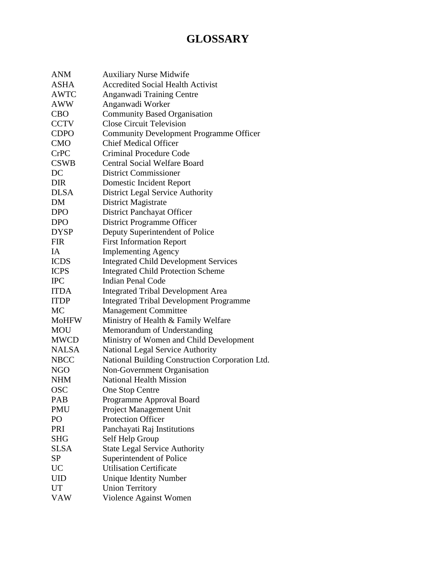## **GLOSSARY**

| <b>ANM</b>   | <b>Auxiliary Nurse Midwife</b>                  |
|--------------|-------------------------------------------------|
| <b>ASHA</b>  | <b>Accredited Social Health Activist</b>        |
| <b>AWTC</b>  | Anganwadi Training Centre                       |
| <b>AWW</b>   | Anganwadi Worker                                |
| <b>CBO</b>   | <b>Community Based Organisation</b>             |
| <b>CCTV</b>  | <b>Close Circuit Television</b>                 |
| <b>CDPO</b>  | <b>Community Development Programme Officer</b>  |
| <b>CMO</b>   | <b>Chief Medical Officer</b>                    |
| <b>CrPC</b>  | <b>Criminal Procedure Code</b>                  |
| <b>CSWB</b>  | <b>Central Social Welfare Board</b>             |
| DC           | <b>District Commissioner</b>                    |
| <b>DIR</b>   | Domestic Incident Report                        |
| <b>DLSA</b>  | <b>District Legal Service Authority</b>         |
| DM           | District Magistrate                             |
| <b>DPO</b>   | <b>District Panchayat Officer</b>               |
| <b>DPO</b>   | <b>District Programme Officer</b>               |
| <b>DYSP</b>  | Deputy Superintendent of Police                 |
| <b>FIR</b>   | <b>First Information Report</b>                 |
| <b>IA</b>    | <b>Implementing Agency</b>                      |
| <b>ICDS</b>  | <b>Integrated Child Development Services</b>    |
| <b>ICPS</b>  | <b>Integrated Child Protection Scheme</b>       |
| <b>IPC</b>   | <b>Indian Penal Code</b>                        |
| <b>ITDA</b>  | <b>Integrated Tribal Development Area</b>       |
| <b>ITDP</b>  | <b>Integrated Tribal Development Programme</b>  |
| <b>MC</b>    | <b>Management Committee</b>                     |
| <b>MoHFW</b> | Ministry of Health & Family Welfare             |
| <b>MOU</b>   | Memorandum of Understanding                     |
| <b>MWCD</b>  | Ministry of Women and Child Development         |
| <b>NALSA</b> | <b>National Legal Service Authority</b>         |
| <b>NBCC</b>  | National Building Construction Corporation Ltd. |
| <b>NGO</b>   | Non-Government Organisation                     |
| <b>NHM</b>   | <b>National Health Mission</b>                  |
| <b>OSC</b>   | One Stop Centre                                 |
| <b>PAB</b>   | Programme Approval Board                        |
| <b>PMU</b>   | Project Management Unit                         |
| PO           | <b>Protection Officer</b>                       |
| PRI          | Panchayati Raj Institutions                     |
| <b>SHG</b>   | Self Help Group                                 |
| <b>SLSA</b>  | <b>State Legal Service Authority</b>            |
| SP           | Superintendent of Police                        |
| UC           | <b>Utilisation Certificate</b>                  |
| UID          | <b>Unique Identity Number</b>                   |
| <b>UT</b>    | <b>Union Territory</b>                          |
| <b>VAW</b>   | Violence Against Women                          |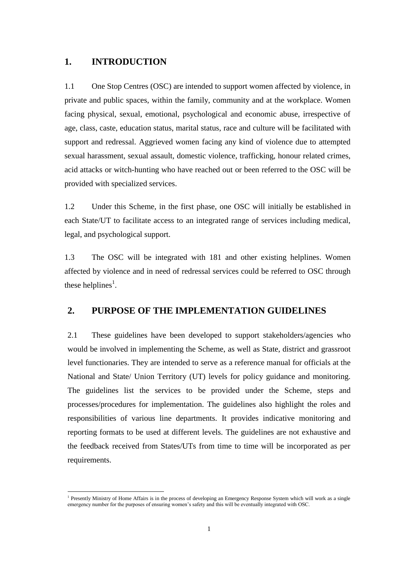#### **1. INTRODUCTION**

 1.1 One Stop Centres (OSC) are intended to support women affected by violence, in private and public spaces, within the family, community and at the workplace. Women facing physical, sexual, emotional, psychological and economic abuse, irrespective of age, class, caste, education status, marital status, race and culture will be facilitated with support and redressal. Aggrieved women facing any kind of violence due to attempted sexual harassment, sexual assault, domestic violence, trafficking, honour related crimes, acid attacks or witch-hunting who have reached out or been referred to the OSC will be provided with specialized services.

 1.2 Under this Scheme, in the first phase, one OSC will initially be established in each State/UT to facilitate access to an integrated range of services including medical, legal, and psychological support.

 1.3 The OSC will be integrated with 181 and other existing helplines. Women affected by violence and in need of redressal services could be referred to OSC through these helplines<sup>1</sup>.

#### **2. PURPOSE OF THE IMPLEMENTATION GUIDELINES**

 level functionaries. They are intended to serve as a reference manual for officials at the National and State/ Union Territory (UT) levels for policy guidance and monitoring. processes/procedures for implementation. The guidelines also highlight the roles and responsibilities of various line departments. It provides indicative monitoring and the feedback received from States/UTs from time to time will be incorporated as per 2.1 These guidelines have been developed to support stakeholders/agencies who would be involved in implementing the Scheme, as well as State, district and grassroot The guidelines list the services to be provided under the Scheme, steps and reporting formats to be used at different levels. The guidelines are not exhaustive and requirements.

**<sup>.</sup>** <sup>1</sup> Presently Ministry of Home Affairs is in the process of developing an Emergency Response System which will work as a single emergency number for the purposes of ensuring women's safety and this will be eventually integrated with OSC.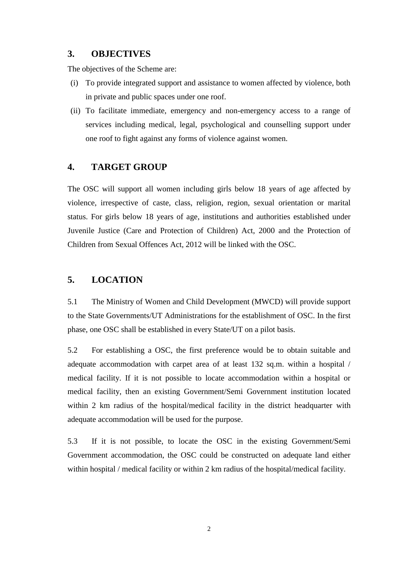#### **3. OBJECTIVES**

The objectives of the Scheme are:

- (i) To provide integrated support and assistance to women affected by violence, both in private and public spaces under one roof.
- (ii) To facilitate immediate, emergency and non-emergency access to a range of one roof to fight against any forms of violence against women. services including medical, legal, psychological and counselling support under

#### **4. TARGET GROUP**

 The OSC will support all women including girls below 18 years of age affected by violence, irrespective of caste, class, religion, region, sexual orientation or marital status. For girls below 18 years of age, institutions and authorities established under Juvenile Justice (Care and Protection of Children) Act, 2000 and the Protection of Children from Sexual Offences Act, 2012 will be linked with the OSC.

#### **5. LOCATION**

 5.1 The Ministry of Women and Child Development (MWCD) will provide support to the State Governments/UT Administrations for the establishment of OSC. In the first phase, one OSC shall be established in every State/UT on a pilot basis.

 5.2 For establishing a OSC, the first preference would be to obtain suitable and adequate accommodation with carpet area of at least 132 sq.m. within a hospital / medical facility. If it is not possible to locate accommodation within a hospital or medical facility, then an existing Government/Semi Government institution located within 2 km radius of the hospital/medical facility in the district headquarter with adequate accommodation will be used for the purpose.

 5.3 If it is not possible, to locate the OSC in the existing Government/Semi Government accommodation, the OSC could be constructed on adequate land either within hospital / medical facility or within 2 km radius of the hospital/medical facility.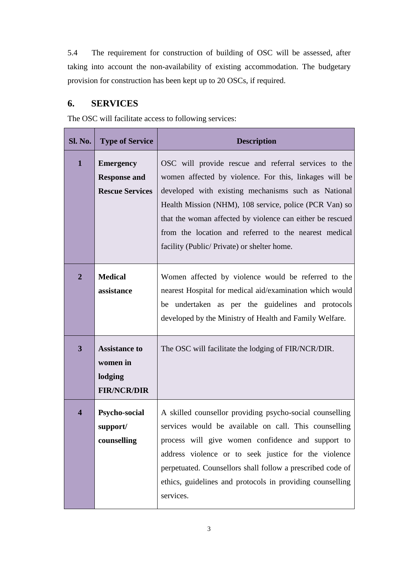5.4 The requirement for construction of building of OSC will be assessed, after taking into account the non-availability of existing accommodation. The budgetary provision for construction has been kept up to 20 OSCs, if required.

### **6. SERVICES**

The OSC will facilitate access to following services:

| <b>Sl. No.</b>          | <b>Type of Service</b>                                            | <b>Description</b>                                                                                                                                                                                                                                                                                                                                                                                  |
|-------------------------|-------------------------------------------------------------------|-----------------------------------------------------------------------------------------------------------------------------------------------------------------------------------------------------------------------------------------------------------------------------------------------------------------------------------------------------------------------------------------------------|
| $\mathbf{1}$            | <b>Emergency</b><br><b>Response and</b><br><b>Rescue Services</b> | OSC will provide rescue and referral services to the<br>women affected by violence. For this, linkages will be<br>developed with existing mechanisms such as National<br>Health Mission (NHM), 108 service, police (PCR Van) so<br>that the woman affected by violence can either be rescued<br>from the location and referred to the nearest medical<br>facility (Public/Private) or shelter home. |
| $\overline{2}$          | <b>Medical</b><br>assistance                                      | Women affected by violence would be referred to the<br>nearest Hospital for medical aid/examination which would<br>be undertaken as per the guidelines and protocols<br>developed by the Ministry of Health and Family Welfare.                                                                                                                                                                     |
| $\overline{\mathbf{3}}$ | <b>Assistance to</b><br>women in<br>lodging<br><b>FIR/NCR/DIR</b> | The OSC will facilitate the lodging of FIR/NCR/DIR.                                                                                                                                                                                                                                                                                                                                                 |
| $\overline{\mathbf{4}}$ | <b>Psycho-social</b><br>support/<br>counselling                   | A skilled counsellor providing psycho-social counselling<br>services would be available on call. This counselling<br>process will give women confidence and support to<br>address violence or to seek justice for the violence<br>perpetuated. Counsellors shall follow a prescribed code of<br>ethics, guidelines and protocols in providing counselling<br>services.                              |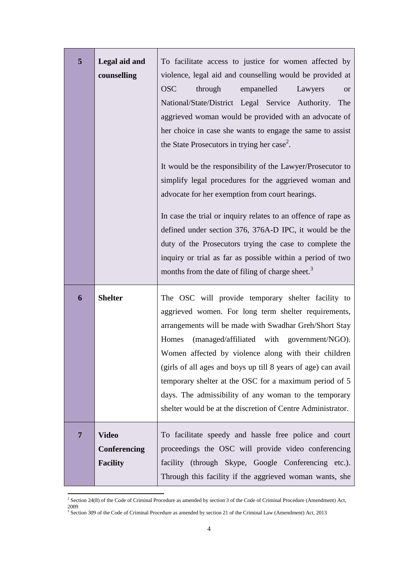| 5              | Legal aid and<br>counselling                    | To facilitate access to justice for women affected by<br>violence, legal aid and counselling would be provided at<br><b>OSC</b><br>through<br>empanelled<br>Lawyers<br><b>or</b><br>National/State/District Legal Service Authority. The<br>aggrieved woman would be provided with an advocate of<br>her choice in case she wants to engage the same to assist<br>the State Prosecutors in trying her case <sup>2</sup> .<br>It would be the responsibility of the Lawyer/Prosecutor to<br>simplify legal procedures for the aggrieved woman and<br>advocate for her exemption from court hearings.<br>In case the trial or inquiry relates to an offence of rape as<br>defined under section 376, 376A-D IPC, it would be the<br>duty of the Prosecutors trying the case to complete the<br>inquiry or trial as far as possible within a period of two<br>months from the date of filing of charge sheet. <sup>3</sup> |
|----------------|-------------------------------------------------|-------------------------------------------------------------------------------------------------------------------------------------------------------------------------------------------------------------------------------------------------------------------------------------------------------------------------------------------------------------------------------------------------------------------------------------------------------------------------------------------------------------------------------------------------------------------------------------------------------------------------------------------------------------------------------------------------------------------------------------------------------------------------------------------------------------------------------------------------------------------------------------------------------------------------|
| 6              | <b>Shelter</b>                                  | The OSC will provide temporary shelter facility to<br>aggrieved women. For long term shelter requirements,<br>arrangements will be made with Swadhar Greh/Short Stay<br>(managed/affiliated with government/NGO).<br>Homes<br>Women affected by violence along with their children<br>(girls of all ages and boys up till 8 years of age) can avail<br>temporary shelter at the OSC for a maximum period of 5<br>days. The admissibility of any woman to the temporary<br>shelter would be at the discretion of Centre Administrator.                                                                                                                                                                                                                                                                                                                                                                                   |
| $\overline{7}$ | <b>Video</b><br>Conferencing<br><b>Facility</b> | To facilitate speedy and hassle free police and court<br>proceedings the OSC will provide video conferencing<br>facility (through Skype, Google Conferencing etc.).<br>Through this facility if the aggrieved woman wants, she                                                                                                                                                                                                                                                                                                                                                                                                                                                                                                                                                                                                                                                                                          |

<sup>&</sup>lt;sup>2</sup> Section 24(8) of the Code of Criminal Procedure as amended by section 3 of the Code of Criminal Procedure (Amendment) Act, 2009

**.** 

<sup>&</sup>lt;sup>3</sup> Section 309 of the Code of Criminal Procedure as amended by section 21 of the Criminal Law (Amendment) Act, 2013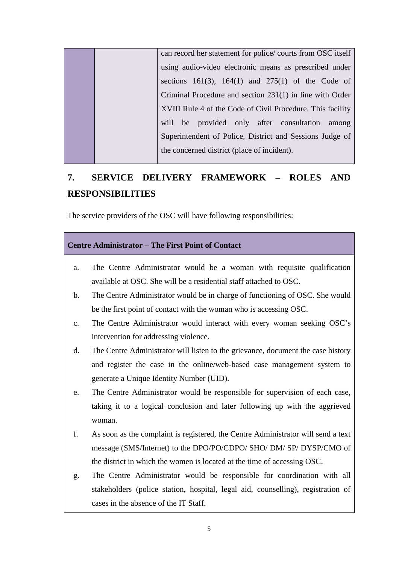|  | can record her statement for police/courts from OSC itself |  |  |  |  |  |
|--|------------------------------------------------------------|--|--|--|--|--|
|  | using audio-video electronic means as prescribed under     |  |  |  |  |  |
|  | sections $161(3)$ , $164(1)$ and $275(1)$ of the Code of   |  |  |  |  |  |
|  | Criminal Procedure and section 231(1) in line with Order   |  |  |  |  |  |
|  | XVIII Rule 4 of the Code of Civil Procedure. This facility |  |  |  |  |  |
|  | will be provided only after consultation among             |  |  |  |  |  |
|  | Superintendent of Police, District and Sessions Judge of   |  |  |  |  |  |
|  | the concerned district (place of incident).                |  |  |  |  |  |
|  |                                                            |  |  |  |  |  |

### **7. SERVICE DELIVERY FRAMEWORK – ROLES AND RESPONSIBILITIES**

The service providers of the OSC will have following responsibilities:

#### **Centre Administrator – The First Point of Contact**

- a. The Centre Administrator would be a woman with requisite qualification available at OSC. She will be a residential staff attached to OSC.
- b. The Centre Administrator would be in charge of functioning of OSC. She would be the first point of contact with the woman who is accessing OSC.
- c. The Centre Administrator would interact with every woman seeking OSC's intervention for addressing violence.
- d. The Centre Administrator will listen to the grievance, document the case history and register the case in the online/web-based case management system to generate a Unique Identity Number (UID).
- e. The Centre Administrator would be responsible for supervision of each case, taking it to a logical conclusion and later following up with the aggrieved woman.
- f. As soon as the complaint is registered, the Centre Administrator will send a text message (SMS/Internet) to the DPO/PO/CDPO/ SHO/ DM/ SP/ DYSP/CMO of the district in which the women is located at the time of accessing OSC.
- g. The Centre Administrator would be responsible for coordination with all stakeholders (police station, hospital, legal aid, counselling), registration of cases in the absence of the IT Staff.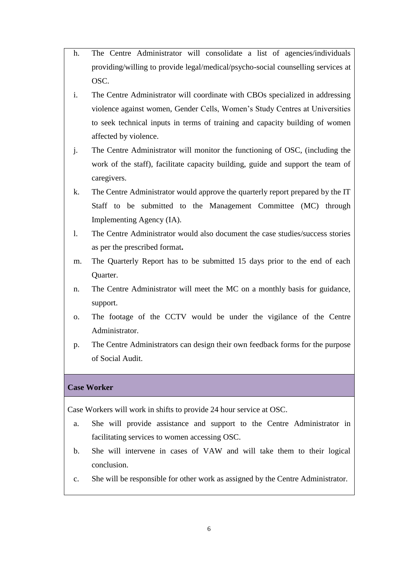- h. The Centre Administrator will consolidate a list of agencies/individuals providing/willing to provide legal/medical/psycho-social counselling services at OSC.
- i. The Centre Administrator will coordinate with CBOs specialized in addressing violence against women, Gender Cells, Women's Study Centres at Universities to seek technical inputs in terms of training and capacity building of women affected by violence.
- j. The Centre Administrator will monitor the functioning of OSC, (including the work of the staff), facilitate capacity building, guide and support the team of caregivers.
- k. The Centre Administrator would approve the quarterly report prepared by the IT Staff to be submitted to the Management Committee (MC) through Implementing Agency (IA).
- l. The Centre Administrator would also document the case studies/success stories as per the prescribed format**.**
- m. The Quarterly Report has to be submitted 15 days prior to the end of each Quarter.
- n. The Centre Administrator will meet the MC on a monthly basis for guidance, support.
- o. The footage of the CCTV would be under the vigilance of the Centre Administrator.
- p. The Centre Administrators can design their own feedback forms for the purpose of Social Audit.

#### **Case Worker**

Case Workers will work in shifts to provide 24 hour service at OSC.

- a. She will provide assistance and support to the Centre Administrator in facilitating services to women accessing OSC.
- b. She will intervene in cases of VAW and will take them to their logical conclusion.
- c. She will be responsible for other work as assigned by the Centre Administrator.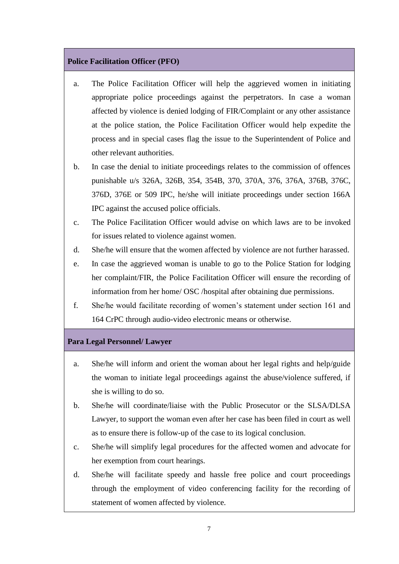#### **Police Facilitation Officer (PFO)**

- a. The Police Facilitation Officer will help the aggrieved women in initiating appropriate police proceedings against the perpetrators. In case a woman affected by violence is denied lodging of FIR/Complaint or any other assistance at the police station, the Police Facilitation Officer would help expedite the process and in special cases flag the issue to the Superintendent of Police and other relevant authorities.
- b. In case the denial to initiate proceedings relates to the commission of offences punishable u/s 326A, 326B, 354, 354B, 370, 370A, 376, 376A, 376B, 376C, 376D, 376E or 509 IPC, he/she will initiate proceedings under section 166A IPC against the accused police officials.
- c. The Police Facilitation Officer would advise on which laws are to be invoked for issues related to violence against women.
- d. She/he will ensure that the women affected by violence are not further harassed.
- e. In case the aggrieved woman is unable to go to the Police Station for lodging her complaint/FIR, the Police Facilitation Officer will ensure the recording of information from her home/ OSC /hospital after obtaining due permissions.
- f. She/he would facilitate recording of women's statement under section 161 and 164 CrPC through audio-video electronic means or otherwise.

#### **Para Legal Personnel/ Lawyer**

- a. She/he will inform and orient the woman about her legal rights and help/guide the woman to initiate legal proceedings against the abuse/violence suffered, if she is willing to do so.
- b. She/he will coordinate/liaise with the Public Prosecutor or the SLSA/DLSA Lawyer, to support the woman even after her case has been filed in court as well as to ensure there is follow-up of the case to its logical conclusion.
- c. She/he will simplify legal procedures for the affected women and advocate for her exemption from court hearings.
- d. She/he will facilitate speedy and hassle free police and court proceedings through the employment of video conferencing facility for the recording of statement of women affected by violence.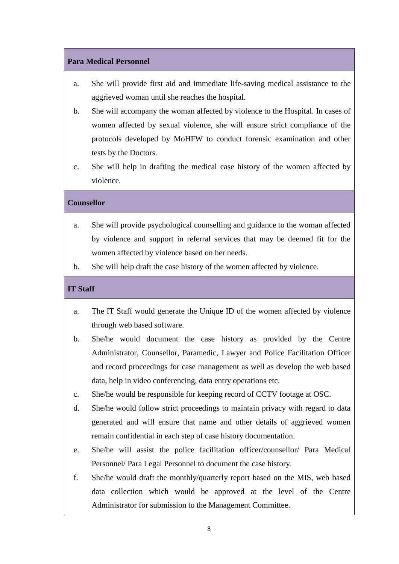#### **Para Medical Personnel**

- a. She will provide first aid and immediate life-saving medical assistance to the aggrieved woman until she reaches the hospital.
- b. She will accompany the woman affected by violence to the Hospital. In cases of women affected by sexual violence, she will ensure strict compliance of the protocols developed by MoHFW to conduct forensic examination and other tests by the Doctors.
- c. She will help in drafting the medical case history of the women affected by violence.

#### **Counsellor**

- by violence and support in referral services that may be deemed fit for the a. She will provide psychological counselling and guidance to the woman affected women affected by violence based on her needs.
- b. She will help draft the case history of the women affected by violence.

#### **IT Staff**

- a. The IT Staff would generate the Unique ID of the women affected by violence through web based software.
- b. She/he would document the case history as provided by the Centre and record proceedings for case management as well as develop the web based Administrator, Counsellor, Paramedic, Lawyer and Police Facilitation Officer data, help in video conferencing, data entry operations etc.
- c. She/he would be responsible for keeping record of CCTV footage at OSC.
- generated and will ensure that name and other details of aggrieved women d. She/he would follow strict proceedings to maintain privacy with regard to data remain confidential in each step of case history documentation.
- e. She/he will assist the police facilitation officer/counsellor/ Para Medical Personnel/ Para Legal Personnel to document the case history.
- data collection which would be approved at the level of the Centre f. She/he would draft the monthly/quarterly report based on the MIS, web based Administrator for submission to the Management Committee.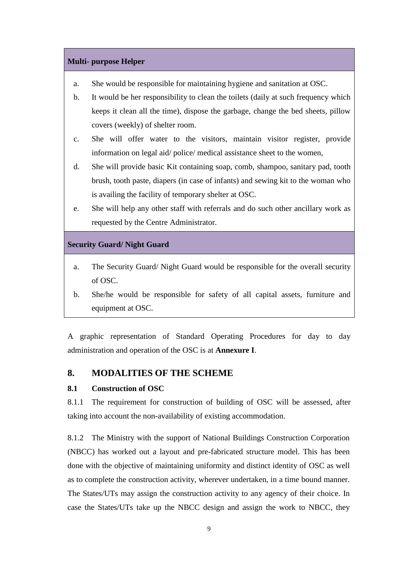#### **Multi- purpose Helper**

- a. She would be responsible for maintaining hygiene and sanitation at OSC.
- b. It would be her responsibility to clean the toilets (daily at such frequency which keeps it clean all the time), dispose the garbage, change the bed sheets, pillow covers (weekly) of shelter room.
- c. She will offer water to the visitors, maintain visitor register, provide information on legal aid/ police/ medical assistance sheet to the women,
- d. She will provide basic Kit containing soap, comb, shampoo, sanitary pad, tooth brush, tooth paste, diapers (in case of infants) and sewing kit to the woman who is availing the facility of temporary shelter at OSC.
- e. She will help any other staff with referrals and do such other ancillary work as requested by the Centre Administrator.

#### **Security Guard/ Night Guard**

- a. The Security Guard/ Night Guard would be responsible for the overall security of OSC.
- b. She/he would be responsible for safety of all capital assets, furniture and equipment at OSC.

 A graphic representation of Standard Operating Procedures for day to day administration and operation of the OSC is at **Annexure I**.

# 8. MODALITIES OF THE SCHEME<br>8.1 Construction of OSC

#### **Construction of OSC**

8.1.1 The requirement for construction of building of OSC will be assessed, after taking into account the non-availability of existing accommodation.

8.1.2 (NBCC) has worked out a layout and pre-fabricated structure model. This has been done with the objective of maintaining uniformity and distinct identity of OSC as well The States/UTs may assign the construction activity to any agency of their choice. In case the States/UTs take up the NBCC design and assign the work to NBCC, they The Ministry with the support of National Buildings Construction Corporation as to complete the construction activity, wherever undertaken, in a time bound manner.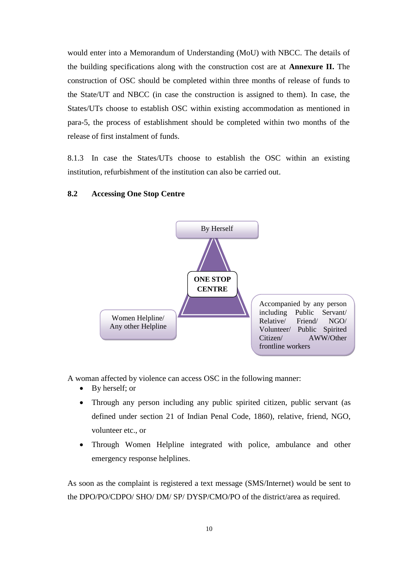would enter into a Memorandum of Understanding (MoU) with NBCC. The details of  the building specifications along with the construction cost are at **Annexure II.** The construction of OSC should be completed within three months of release of funds to the State/UT and NBCC (in case the construction is assigned to them). In case, the para-5, the process of establishment should be completed within two months of the States/UTs choose to establish OSC within existing accommodation as mentioned in release of first instalment of funds.

8.1.3 In case the States/UTs choose to establish the OSC within an existing institution, refurbishment of the institution can also be carried out.

#### **8.2 Accessing One Stop Centre**



A woman affected by violence can access OSC in the following manner:

- By herself; or
- Through any person including any public spirited citizen, public servant (as defined under section 21 of Indian Penal Code, 1860), relative, friend, NGO, volunteer etc., or
- Through Women Helpline integrated with police, ambulance and other emergency response helplines.

 As soon as the complaint is registered a text message (SMS/Internet) would be sent to the DPO/PO/CDPO/ SHO/ DM/ SP/ DYSP/CMO/PO of the district/area as required.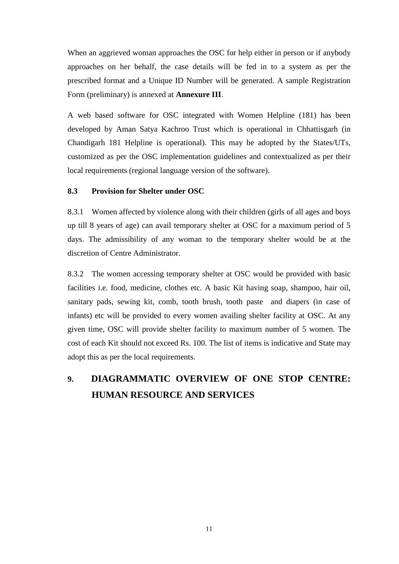When an aggrieved woman approaches the OSC for help either in person or if anybody approaches on her behalf, the case details will be fed in to a system as per the prescribed format and a Unique ID Number will be generated. A sample Registration Form (preliminary) is annexed at **Annexure III**.

 A web based software for OSC integrated with Women Helpline (181) has been Chandigarh 181 Helpline is operational). This may be adopted by the States/UTs, customized as per the OSC implementation guidelines and contextualized as per their developed by Aman Satya Kachroo Trust which is operational in Chhattisgarh (in local requirements (regional language version of the software).

#### **8.3 Provision for Shelter under OSC**

 8.3.1 Women affected by violence along with their children (girls of all ages and boys up till 8 years of age) can avail temporary shelter at OSC for a maximum period of 5 days. The admissibility of any woman to the temporary shelter would be at the discretion of Centre Administrator.

 8.3.2 The women accessing temporary shelter at OSC would be provided with basic facilities i.e. food, medicine, clothes etc. A basic Kit having soap, shampoo, hair oil, sanitary pads, sewing kit, comb, tooth brush, tooth paste and diapers (in case of infants) etc will be provided to every women availing shelter facility at OSC. At any given time, OSC will provide shelter facility to maximum number of 5 women. The cost of each Kit should not exceed Rs. 100. The list of items is indicative and State may adopt this as per the local requirements.

### **9. DIAGRAMMATIC OVERVIEW OF ONE STOP CENTRE: HUMAN RESOURCE AND SERVICES**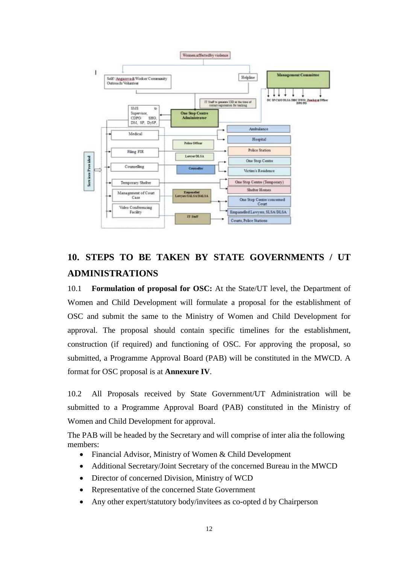

### **10. STEPS TO BE TAKEN BY STATE GOVERNMENTS / UT ADMINISTRATIONS**

10.1 **Formulation of proposal for OSC:** At the State/UT level, the Department of Women and Child Development will formulate a proposal for the establishment of OSC and submit the same to the Ministry of Women and Child Development for approval. The proposal should contain specific timelines for the establishment, construction (if required) and functioning of OSC. For approving the proposal, so submitted, a Programme Approval Board (PAB) will be constituted in the MWCD. A format for OSC proposal is at **Annexure IV**.

 10.2 All Proposals received by State Government/UT Administration will be submitted to a Programme Approval Board (PAB) constituted in the Ministry of Women and Child Development for approval.

 The PAB will be headed by the Secretary and will comprise of inter alia the following members:

- Financial Advisor, Ministry of Women & Child Development
- Additional Secretary/Joint Secretary of the concerned Bureau in the MWCD
- Director of concerned Division, Ministry of WCD
- Representative of the concerned State Government
- Any other expert/statutory body/invitees as co-opted d by Chairperson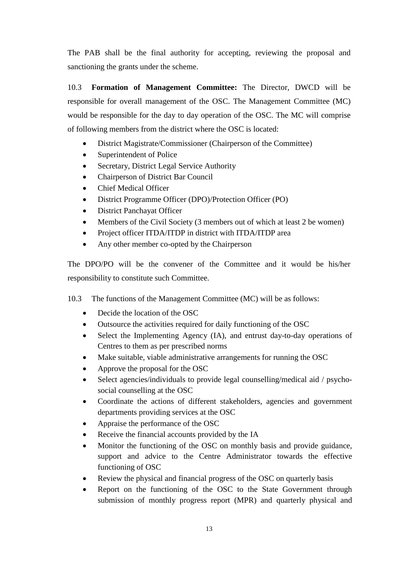The PAB shall be the final authority for accepting, reviewing the proposal and sanctioning the grants under the scheme.

 10.3 **Formation of Management Committee:** The Director, DWCD will be responsible for overall management of the OSC. The Management Committee (MC) would be responsible for the day to day operation of the OSC. The MC will comprise of following members from the district where the OSC is located:

- District Magistrate/Commissioner (Chairperson of the Committee)
- Superintendent of Police
- Secretary, District Legal Service Authority
- Chairperson of District Bar Council
- Chief Medical Officer
- District Programme Officer (DPO)/Protection Officer (PO)
- District Panchayat Officer
- Members of the Civil Society (3 members out of which at least 2 be women)
- Project officer ITDA/ITDP in district with ITDA/ITDP area
- Any other member co-opted by the Chairperson

 The DPO/PO will be the convener of the Committee and it would be his/her responsibility to constitute such Committee.

- 10.3 The functions of the Management Committee (MC) will be as follows:
	- Decide the location of the OSC
	- Outsource the activities required for daily functioning of the OSC
	- Select the Implementing Agency (IA), and entrust day-to-day operations of Centres to them as per prescribed norms
	- Make suitable, viable administrative arrangements for running the OSC
	- Approve the proposal for the OSC
	- social counselling at the OSC Select agencies/individuals to provide legal counselling/medical aid / psycho-
	- departments providing services at the OSC Coordinate the actions of different stakeholders, agencies and government
	- Appraise the performance of the OSC
	- Receive the financial accounts provided by the IA
	- Monitor the functioning of the OSC on monthly basis and provide guidance, support and advice to the Centre Administrator towards the effective functioning of OSC
	- Review the physical and financial progress of the OSC on quarterly basis
	- Report on the functioning of the OSC to the State Government through submission of monthly progress report (MPR) and quarterly physical and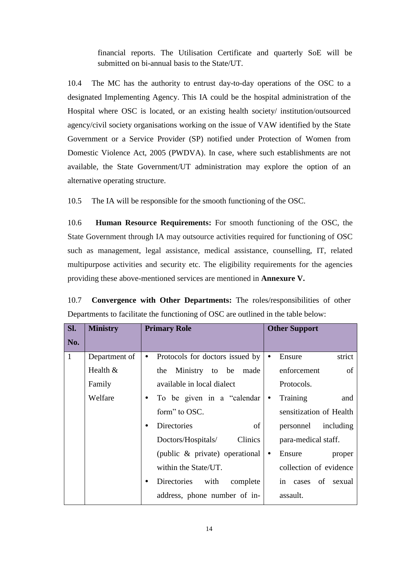financial reports. The Utilisation Certificate and quarterly SoE will be submitted on bi-annual basis to the State/UT.

10.4 designated Implementing Agency. This IA could be the hospital administration of the Hospital where OSC is located, or an existing health society/ institution/outsourced agency/civil society organisations working on the issue of VAW identified by the State Government or a Service Provider (SP) notified under Protection of Women from Domestic Violence Act, 2005 (PWDVA). In case, where such establishments are not available, the State Government/UT administration may explore the option of an The MC has the authority to entrust day-to-day operations of the OSC to a alternative operating structure.

10.5 The IA will be responsible for the smooth functioning of the OSC.

 State Government through IA may outsource activities required for functioning of OSC such as management, legal assistance, medical assistance, counselling, IT, related multipurpose activities and security etc. The eligibility requirements for the agencies 10.6 **Human Resource Requirements:** For smooth functioning of the OSC, the providing these above-mentioned services are mentioned in **Annexure V.** 

 10.7 **Convergence with Other Departments:** The roles/responsibilities of other Departments to facilitate the functioning of OSC are outlined in the table below:

| SI.          | <b>Ministry</b> | <b>Primary Role</b>                          | <b>Other Support</b>          |
|--------------|-----------------|----------------------------------------------|-------------------------------|
| No.          |                 |                                              |                               |
| $\mathbf{1}$ | Department of   | Protocols for doctors issued by<br>$\bullet$ | strict<br>Ensure<br>$\bullet$ |
|              | Health &        | Ministry to be made<br>the                   | enforcement<br>of             |
|              | Family          | available in local dialect                   | Protocols.                    |
|              | Welfare         | • To be given in a "calendar                 | Training<br>and<br>$\bullet$  |
|              |                 | form" to OSC.                                | sensitization of Health       |
|              |                 | <b>Directories</b><br>of<br>٠                | personnel including           |
|              |                 | Clinics<br>Doctors/Hospitals/                | para-medical staff.           |
|              |                 | (public & private) operational               | $\bullet$<br>Ensure<br>proper |
|              |                 | within the State/UT.                         | collection of evidence        |
|              |                 | Directories with<br>complete<br>٠            | in cases of sexual            |
|              |                 | address, phone number of in-                 | assault.                      |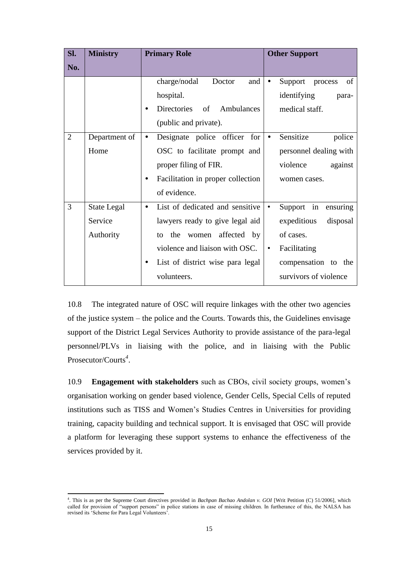| Sl.            | <b>Ministry</b>    | <b>Primary Role</b><br><b>Other Support</b>    |                                       |
|----------------|--------------------|------------------------------------------------|---------------------------------------|
| No.            |                    |                                                |                                       |
|                |                    | charge/nodal<br>Doctor<br>and                  | of<br>Support<br>process<br>$\bullet$ |
|                |                    | hospital.                                      | identifying<br>para-                  |
|                |                    | Directories of Ambulances<br>٠                 | medical staff.                        |
|                |                    | (public and private).                          |                                       |
| $\overline{2}$ | Department of      | Designate police officer for<br>$\bullet$      | Sensitize<br>police<br>$\bullet$      |
|                | Home               | OSC to facilitate prompt and                   | personnel dealing with                |
|                |                    | proper filing of FIR.                          | violence<br>against                   |
|                |                    | Facilitation in proper collection<br>$\bullet$ | women cases.                          |
|                |                    | of evidence.                                   |                                       |
| 3              | <b>State Legal</b> | List of dedicated and sensitive<br>$\bullet$   | Support in<br>ensuring<br>$\bullet$   |
|                | Service            | lawyers ready to give legal aid                | expeditious<br>disposal               |
|                | Authority          | to the women affected by                       | of cases.                             |
|                |                    | violence and liaison with OSC.                 | Facilitating<br>$\bullet$             |
|                |                    | List of district wise para legal<br>$\bullet$  | compensation to the                   |
|                |                    | volunteers.                                    | survivors of violence                 |

 10.8 The integrated nature of OSC will require linkages with the other two agencies of the justice system – the police and the Courts. Towards this, the Guidelines envisage personnel/PLVs in liaising with the police, and in liaising with the Public support of the District Legal Services Authority to provide assistance of the para-legal Prosecutor/Courts*<sup>4</sup>* .

 organisation working on gender based violence, Gender Cells, Special Cells of reputed institutions such as TISS and Women's Studies Centres in Universities for providing training, capacity building and technical support. It is envisaged that OSC will provide a platform for leveraging these support systems to enhance the effectiveness of the 10.9 **Engagement with stakeholders** such as CBOs, civil society groups, women's services provided by it.

**<sup>.</sup>**  called for provision of "support persons" in police stations in case of missing children. In furtherance of this, the NALSA has revised its 'Scheme for Para Legal Volunteers'. 4 . This is as per the Supreme Court directives provided in *Bachpan Bachao Andolan v. GOI* [Writ Petition (C) 51/2006], which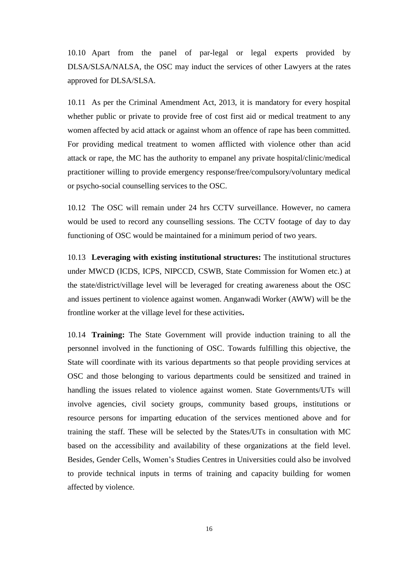10.10 Apart from the panel of par-legal or legal experts provided by DLSA/SLSA/NALSA, the OSC may induct the services of other Lawyers at the rates approved for DLSA/SLSA.

 10.11 As per the Criminal Amendment Act, 2013, it is mandatory for every hospital whether public or private to provide free of cost first aid or medical treatment to any women affected by acid attack or against whom an offence of rape has been committed. For providing medical treatment to women afflicted with violence other than acid practitioner willing to provide emergency response/free/compulsory/voluntary medical attack or rape, the MC has the authority to empanel any private hospital/clinic/medical or psycho-social counselling services to the OSC.

 10.12 The OSC will remain under 24 hrs CCTV surveillance. However, no camera would be used to record any counselling sessions. The CCTV footage of day to day functioning of OSC would be maintained for a minimum period of two years.

 10.13 **Leveraging with existing institutional structures:** The institutional structures the state/district/village level will be leveraged for creating awareness about the OSC and issues pertinent to violence against women. Anganwadi Worker (AWW) will be the under MWCD (ICDS, ICPS, NIPCCD, CSWB, State Commission for Women etc.) at frontline worker at the village level for these activities**.** 

 10.14 **Training:** The State Government will provide induction training to all the personnel involved in the functioning of OSC. Towards fulfilling this objective, the State will coordinate with its various departments so that people providing services at OSC and those belonging to various departments could be sensitized and trained in handling the issues related to violence against women. State Governments/UTs will resource persons for imparting education of the services mentioned above and for training the staff. These will be selected by the States/UTs in consultation with MC based on the accessibility and availability of these organizations at the field level. Besides, Gender Cells, Women's Studies Centres in Universities could also be involved to provide technical inputs in terms of training and capacity building for women involve agencies, civil society groups, community based groups, institutions or affected by violence.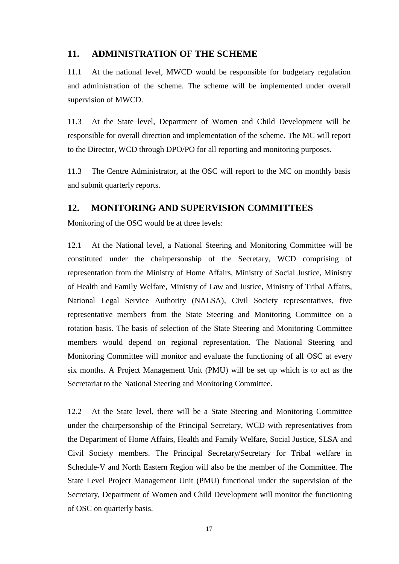#### **11. ADMINISTRATION OF THE SCHEME**

 11.1 At the national level, MWCD would be responsible for budgetary regulation and administration of the scheme. The scheme will be implemented under overall supervision of MWCD.

 $11.3$  responsible for overall direction and implementation of the scheme. The MC will report to the Director, WCD through DPO/PO for all reporting and monitoring purposes. At the State level, Department of Women and Child Development will be

11.3 The Centre Administrator, at the OSC will report to the MC on monthly basis and submit quarterly reports.

#### **12. MONITORING AND SUPERVISION COMMITTEES**

Monitoring of the OSC would be at three levels:

 12.1 At the National level, a National Steering and Monitoring Committee will be constituted under the chairpersonship of the Secretary, WCD comprising of representation from the Ministry of Home Affairs, Ministry of Social Justice, Ministry of Health and Family Welfare, Ministry of Law and Justice, Ministry of Tribal Affairs, National Legal Service Authority (NALSA), Civil Society representatives, five representative members from the State Steering and Monitoring Committee on a rotation basis. The basis of selection of the State Steering and Monitoring Committee members would depend on regional representation. The National Steering and Monitoring Committee will monitor and evaluate the functioning of all OSC at every six months. A Project Management Unit (PMU) will be set up which is to act as the Secretariat to the National Steering and Monitoring Committee.

 12.2 At the State level, there will be a State Steering and Monitoring Committee under the chairpersonship of the Principal Secretary, WCD with representatives from the Department of Home Affairs, Health and Family Welfare, Social Justice, SLSA and Civil Society members. The Principal Secretary/Secretary for Tribal welfare in Schedule-V and North Eastern Region will also be the member of the Committee. The State Level Project Management Unit (PMU) functional under the supervision of the Secretary, Department of Women and Child Development will monitor the functioning of OSC on quarterly basis.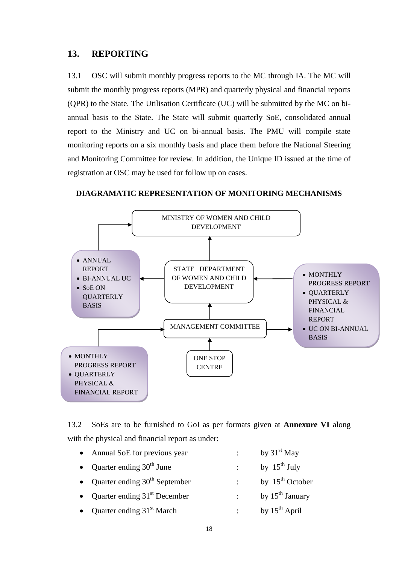#### 13. REPORTING

13.1 OSC will submit monthly progress reports to the MC through IA. The MC will submit the monthly progress reports (MPR) and quarterly physical and financial reports (QPR) to the State. The Utilisation Certificate (UC) will be submitted by the MC on bi annual basis to the State. The State will submit quarterly SoE, consolidated annual report to the Ministry and UC on bi-annual basis. The PMU will compile state monitoring reports on a six monthly basis and place them before the National Steering and Monitoring Committee for review. In addition, the Unique ID issued at the time of registration at OSC may be used for follow up on cases. 13.1

**DIAGRAMATIC REPRESENTATION OF MONITORING MECHANISMS** 



13.2 13.2 SoEs are to be furnished to GoI as per formats given at **Annexure VI** along with the physical and financial report as under:

| • Annual SoE for previous year    |                            | by $31st$ May        |
|-----------------------------------|----------------------------|----------------------|
| • Quarter ending $30th$ June      |                            | by $15^{th}$ July    |
| • Quarter ending $30th$ September |                            | by $15^{th}$ October |
| • Quarter ending $31st$ December  | $\sigma_{\rm{max}}$        | by $15^{th}$ January |
| • Quarter ending $31st$ March     | $\mathcal{L}^{\text{max}}$ | by $15^{th}$ April   |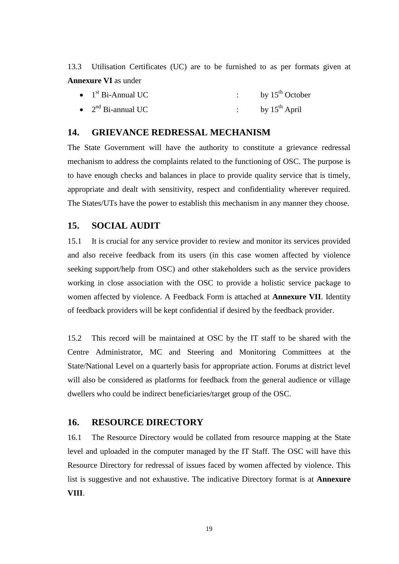13.3 Utilisation Certificates (UC) are to be furnished to as per formats given at **Annexure VI** as under

| $\bullet$ 1 <sup>st</sup> Bi-Annual UC | by $15^{th}$ October |
|----------------------------------------|----------------------|
| • $2nd$ Bi-annual UC                   | by $15^{th}$ April   |

#### **14. GRIEVANCE REDRESSAL MECHANISM**

 The State Government will have the authority to constitute a grievance redressal mechanism to address the complaints related to the functioning of OSC. The purpose is to have enough checks and balances in place to provide quality service that is timely, appropriate and dealt with sensitivity, respect and confidentiality wherever required. The States/UTs have the power to establish this mechanism in any manner they choose.

#### **15. SOCIAL AUDIT**

 15.1 It is crucial for any service provider to review and monitor its services provided and also receive feedback from its users (in this case women affected by violence seeking support/help from OSC) and other stakeholders such as the service providers working in close association with the OSC to provide a holistic service package to women affected by violence. A Feedback Form is attached at **Annexure VII**. Identity of feedback providers will be kept confidential if desired by the feedback provider.

 15.2 This record will be maintained at OSC by the IT staff to be shared with the Centre Administrator, MC and Steering and Monitoring Committees at the State/National Level on a quarterly basis for appropriate action. Forums at district level will also be considered as platforms for feedback from the general audience or village dwellers who could be indirect beneficiaries/target group of the OSC.

#### **16. RESOURCE DIRECTORY**

 level and uploaded in the computer managed by the IT Staff. The OSC will have this Resource Directory for redressal of issues faced by women affected by violence. This list is suggestive and not exhaustive. The indicative Directory format is at **Annexure**  16.1 The Resource Directory would be collated from resource mapping at the State **VIII**.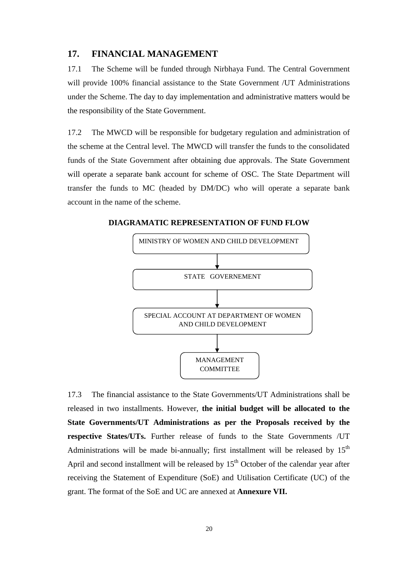#### **17. FINANCIAL MANAGEMENT**

17.1 will provide 100% financial assistance to the State Government /UT Administrations under the Scheme. The day to day implementation and administrative matters would be The Scheme will be funded through Nirbhaya Fund. The Central Government the responsibility of the State Government.

 $17<sub>2</sub>$  the scheme at the Central level. The MWCD will transfer the funds to the consolidated funds of the State Government after obtaining due approvals. The State Government will operate a separate bank account for scheme of OSC. The State Department will transfer the funds to MC (headed by DM/DC) who will operate a separate bank The MWCD will be responsible for budgetary regulation and administration of account in the name of the scheme.

**DIAGRAMATIC REPRESENTATION OF FUND FLOW** 



 $17.3$  released in two installments. However, **the initial budget will be allocated to the State Governments/UT Administrations as per the Proposals received by the respective States/UTs.** Further release of funds to the State Governments /UT Administrations will be made bi-annually; first installment will be released by  $15<sup>th</sup>$ April and second installment will be released by  $15<sup>th</sup>$  October of the calendar year after receiving the Statement of Expenditure (SoE) and Utilisation Certificate (UC) of the  grant. The format of the SoE and UC are annexed at **Annexure VII.**  17.3 The financial assistance to the State Governments/UT Administrations shall be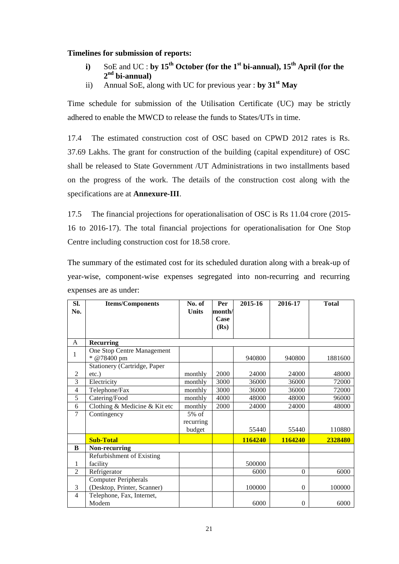#### **Timelines for submission of reports:**

- **i**) SoE and UC : **by 15<sup>th</sup> October (for the 1<sup>st</sup> bi-annual), 15<sup>th</sup> April (for the 2nd bi-annual)**
- ii) Annual SoE, along with UC for previous year : **by 31st May**

 Time schedule for submission of the Utilisation Certificate (UC) may be strictly adhered to enable the MWCD to release the funds to States/UTs in time.

 $174$  37.69 Lakhs. The grant for construction of the building (capital expenditure) of OSC shall be released to State Government /UT Administrations in two installments based on the progress of the work. The details of the construction cost along with the The estimated construction cost of OSC based on CPWD 2012 rates is Rs. specifications are at **Annexure-III**.

 17.5 The financial projections for operationalisation of OSC is Rs 11.04 crore (2015- Centre including construction cost for 18.58 crore. 16 to 2016-17). The total financial projections for operationalisation for One Stop

 The summary of the estimated cost for its scheduled duration along with a break-up of year-wise, component-wise expenses segregated into non-recurring and recurring expenses are as under:

| SI.<br>No.     | <b>Items/Components</b>                   | No. of<br><b>Units</b> | Per<br>month/<br>Case<br>(Rs) | 2015-16 | 2016-17  | <b>Total</b> |
|----------------|-------------------------------------------|------------------------|-------------------------------|---------|----------|--------------|
| A              | <b>Recurring</b>                          |                        |                               |         |          |              |
| 1              | One Stop Centre Management<br>* @78400 pm |                        |                               | 940800  | 940800   | 1881600      |
|                | Stationery (Cartridge, Paper              |                        |                               |         |          |              |
| $\overline{2}$ | $etc.$ )                                  | monthly                | 2000                          | 24000   | 24000    | 48000        |
| 3              | Electricity                               | monthly                | 3000                          | 36000   | 36000    | 72000        |
| 4              | Telephone/Fax                             | monthly                | 3000                          | 36000   | 36000    | 72000        |
| 5              | Catering/Food                             | monthly                | 4000                          | 48000   | 48000    | 96000        |
| 6              | Clothing & Medicine & Kit etc             | monthly                | 2000                          | 24000   | 24000    | 48000        |
| 7              | Contingency                               | $5\%$ of               |                               |         |          |              |
|                |                                           | recurring<br>budget    |                               | 55440   | 55440    | 110880       |
|                | <b>Sub-Total</b>                          |                        |                               | 1164240 | 1164240  | 2328480      |
| B              | Non-recurring                             |                        |                               |         |          |              |
|                | Refurbishment of Existing                 |                        |                               |         |          |              |
| 1              | facility                                  |                        |                               | 500000  |          |              |
| $\overline{2}$ | Refrigerator                              |                        |                               | 6000    | $\theta$ | 6000         |
|                | <b>Computer Peripherals</b>               |                        |                               |         |          |              |
| 3              | (Desktop, Printer, Scanner)               |                        |                               | 100000  | $\theta$ | 100000       |
| 4              | Telephone, Fax, Internet,                 |                        |                               |         |          |              |
|                | Modem                                     |                        |                               | 6000    | $\Omega$ | 6000         |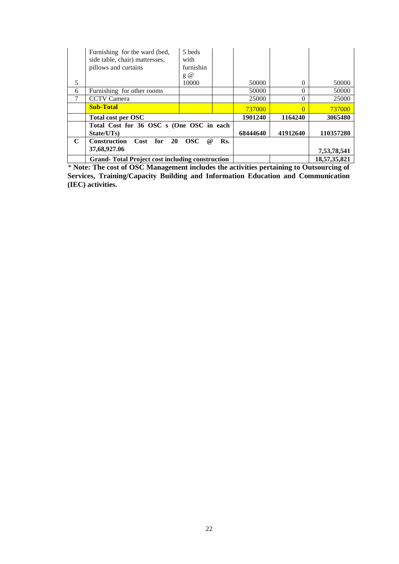|             | Furnishing for the ward (bed,<br>side table, chair) mattresses,<br>pillows and curtains | 5 beds<br>with<br>furnishin<br>$g \omega$ |     |          |          |              |
|-------------|-----------------------------------------------------------------------------------------|-------------------------------------------|-----|----------|----------|--------------|
| 5           |                                                                                         | 10000                                     |     | 50000    | 0        | 50000        |
| 6           | Furnishing for other rooms                                                              |                                           |     | 50000    | $\Omega$ | 50000        |
|             | <b>CCTV</b> Camera                                                                      |                                           |     | 25000    | 0        | 25000        |
|             | <b>Sub-Total</b>                                                                        |                                           |     | 737000   | 0        | 737000       |
|             | Total cost per OSC                                                                      |                                           |     | 1901240  | 1164240  | 3065480      |
|             | Total Cost for 36 OSC s (One OSC in each<br>State/UTs)                                  |                                           |     | 68444640 | 41912640 | 110357280    |
| $\mathbf C$ | Construction<br>for<br>Cost<br><b>20</b><br>37,68,927.06                                | <b>OSC</b><br>$\omega$                    | Rs. |          |          | 7,53,78,541  |
|             | <b>Grand-Total Project cost including construction</b>                                  |                                           |     |          |          | 18,57,35,821 |

*\** **Note: The cost of OSC Management includes the activities pertaining to Outsourcing of Services, Training/Capacity Building and Information Education and Communication (IEC) activities.**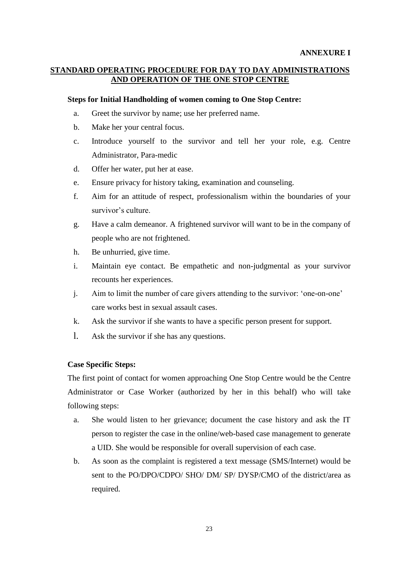#### **AND OPERATION OF THE ONE STOP CENTRE STANDARD OPERATING PROCEDURE FOR DAY TO DAY ADMINISTRATIONS**

#### **AND Steps for Initial Handholding of women coming to One Stop Centre:**

- a. Greet the survivor by name; use her preferred name.
- b. Make her your central focus.
- Administrator, Para-medic c. Introduce yourself to the survivor and tell her your role, e.g. Centre
- d. Offer her water, put her at ease.
- e. Ensure privacy for history taking, examination and counseling.
- f. Aim for an attitude of respect, professionalism within the boundaries of your survivor's culture.
- g. Have a calm demeanor. A frightened survivor will want to be in the company of people who are not frightened.
- h. Be unhurried, give time.
- i. Maintain eye contact. Be empathetic and non-judgmental as your survivor recounts her experiences.
- j. Aim to limit the number of care givers attending to the survivor: 'one-on-one' care works best in sexual assault cases.
- k. Ask the survivor if she wants to have a specific person present for support.
- l. Ask the survivor if she has any questions.

#### **Case Specific Steps:**

 The first point of contact for women approaching One Stop Centre would be the Centre Administrator or Case Worker (authorized by her in this behalf) who will take following steps:

- a. She would listen to her grievance; document the case history and ask the IT person to register the case in the online/web-based case management to generate a UID. She would be responsible for overall supervision of each case.
- b. As soon as the complaint is registered a text message (SMS/Internet) would be sent to the PO/DPO/CDPO/ SHO/ DM/ SP/ DYSP/CMO of the district/area as required.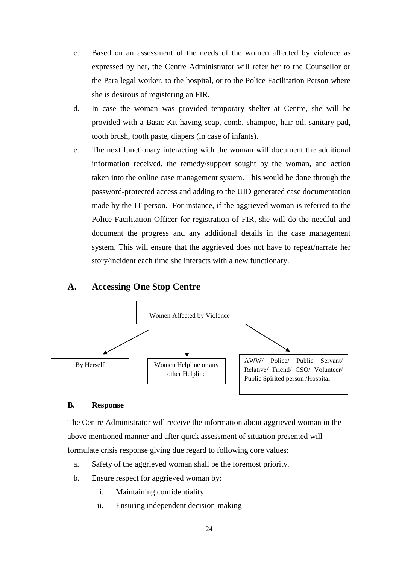- c. Based on an assessment of the needs of the women affected by violence as expressed by her, the Centre Administrator will refer her to the Counsellor or the Para legal worker, to the hospital, or to the Police Facilitation Person where she is desirous of registering an FIR.
- d. In case the woman was provided temporary shelter at Centre, she will be provided with a Basic Kit having soap, comb, shampoo, hair oil, sanitary pad, tooth brush, tooth paste, diapers (in case of infants).
- e. The next functionary interacting with the woman will document the additional taken into the online case management system. This would be done through the password-protected access and adding to the UID generated case documentation made by the IT person. For instance, if the aggrieved woman is referred to the system. This will ensure that the aggrieved does not have to repeat/narrate her information received, the remedy/support sought by the woman, and action Police Facilitation Officer for registration of FIR, she will do the needful and document the progress and any additional details in the case management story/incident each time she interacts with a new functionary.

#### **A. Accessing One Stop Centre**



#### **B. Response**

The Centre Administrator will receive the information about aggrieved woman in the above mentioned manner and after quick assessment of situation presented will formulate crisis response giving due regard to following core values:

- a. Safety of the aggrieved woman shall be the foremost priority.
- b. Ensure respect for aggrieved woman by:
	- i. Maintaining confidentiality
	- ii. Ensuring independent decision-making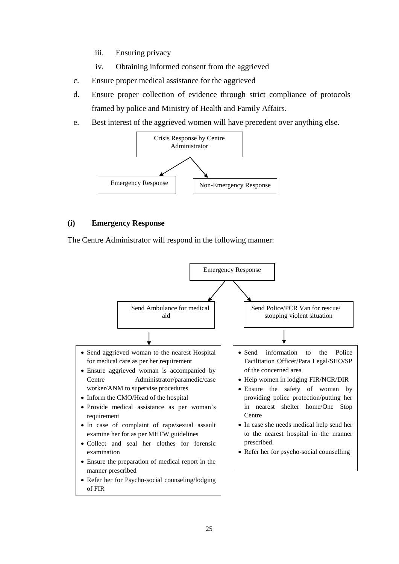- iii. Ensuring privacy
- iv. Obtaining informed consent from the aggrieved
- c. Ensure proper medical assistance for the aggrieved
- d. Ensure proper collection of evidence through strict compliance of protocols framed by police and Ministry of Health and Family Affairs.
- e. Best interest of the aggrieved women will have precedent over anything else.



#### **Emergency Response**

The Centre Administrator will respond in the following manner:

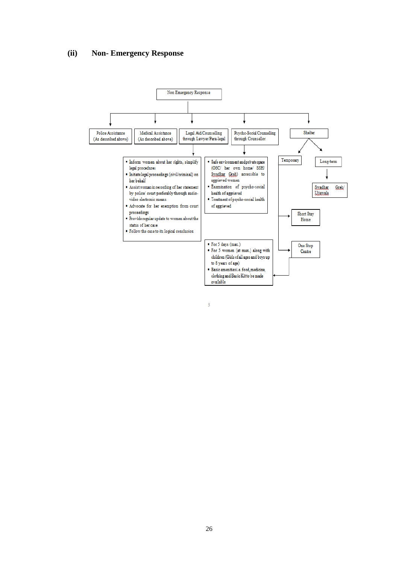#### **(ii) Non- Emergency Response**



 $\overline{3}$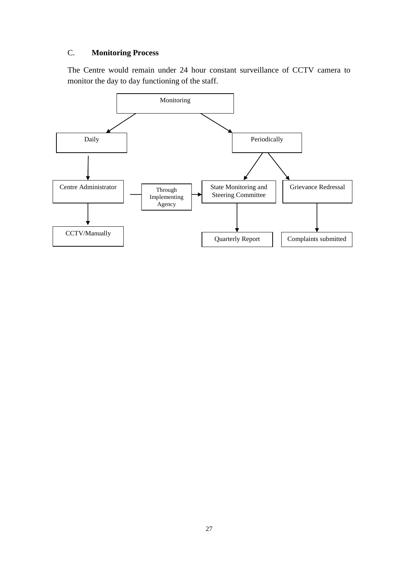### C. **Monitoring Process**

The Centre would remain under 24 hour constant surveillance of CCTV camera to monitor the day to day functioning of the staff.

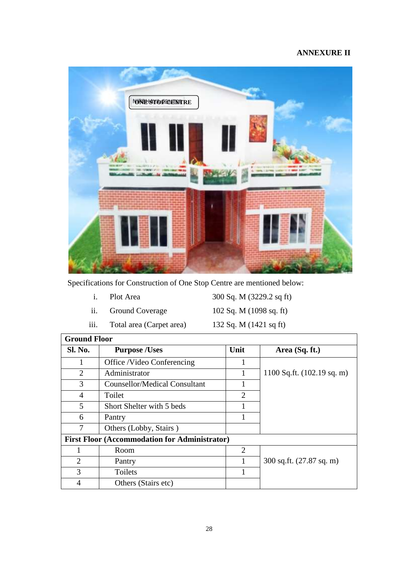#### **ANNEXURE II**



Specifications for Construction of One Stop Centre are mentioned below:

- Plot Area
- **Ground Coverage**

iii. Total area (Carpet area) 132 Sq. M (1421 sq ft) i. Plot Area 300 Sq. M (3229.2 sq ft) ii. Ground Coverage 102 Sq. M (1098 sq. ft)

**Ground Floor Sl. No.** Purpose /Uses Unit Area (Sq. ft.) 1 | Office /Video Conferencing | 1 2 | Administrator | 1 | 1100 Sq.ft. (102.19 sq. m) 3 Counsellor/Medical Consultant 1 4 Toilet 2 5 Short Shelter with 5 beds 1 6 Pantry 1 7 | Others (Lobby, Stairs) **First Floor (Accommodation for Administrator)**  1 Room 2 2 Pantry 1 300 sq.ft. (27.87 sq. m) 3 Toilets 1 4 Others (Stairs etc)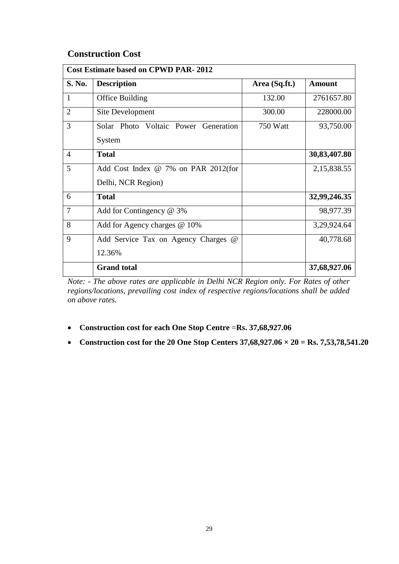#### **Construction Cost**

| <b>Cost Estimate based on CPWD PAR-2012</b> |                                      |               |               |  |  |  |
|---------------------------------------------|--------------------------------------|---------------|---------------|--|--|--|
| S. No.                                      | <b>Description</b>                   | Area (Sq.ft.) | <b>Amount</b> |  |  |  |
| $\mathbf{1}$                                | Office Building                      | 132.00        | 2761657.80    |  |  |  |
| 2                                           | Site Development                     | 300.00        | 228000.00     |  |  |  |
| 3                                           | Solar Photo Voltaic Power Generation | 750 Watt      | 93,750.00     |  |  |  |
|                                             | System                               |               |               |  |  |  |
| $\overline{4}$                              | <b>Total</b>                         |               | 30,83,407.80  |  |  |  |
| 5                                           | Add Cost Index @ 7% on PAR 2012(for  |               | 2,15,838.55   |  |  |  |
|                                             | Delhi, NCR Region)                   |               |               |  |  |  |
| 6                                           | <b>Total</b>                         |               | 32,99,246.35  |  |  |  |
| $\overline{7}$                              | Add for Contingency $@3\%$           |               | 98,977.39     |  |  |  |
| 8                                           | Add for Agency charges @ 10%         |               | 3,29,924.64   |  |  |  |
| 9                                           | Add Service Tax on Agency Charges @  |               | 40,778.68     |  |  |  |
|                                             | 12.36%                               |               |               |  |  |  |
|                                             | <b>Grand</b> total                   |               | 37,68,927.06  |  |  |  |

 *regions/locations, prevailing cost index of respective regions/locations shall be added Note: - The above rates are applicable in Delhi NCR Region only. For Rates of other on above rates.* 

- **Construction cost for each One Stop Centre** =**Rs. [37,68,927.06](https://37,68,927.06)**
- Construction cost for the 20 One Stop Centers  $37,68,927.06 \times 20 = \text{Rs. } 7,53,78,541.20$  $37,68,927.06 \times 20 = \text{Rs. } 7,53,78,541.20$  $37,68,927.06 \times 20 = \text{Rs. } 7,53,78,541.20$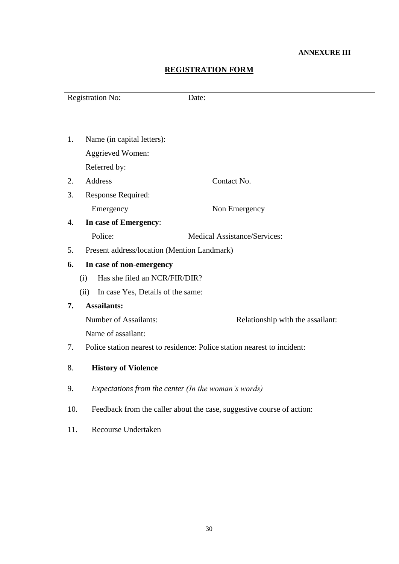#### **ANNEXURE III**

#### **REGISTRATION FORM**

|     | <b>Registration No:</b>                     | Date:                                                                    |
|-----|---------------------------------------------|--------------------------------------------------------------------------|
|     |                                             |                                                                          |
| 1.  | Name (in capital letters):                  |                                                                          |
|     | <b>Aggrieved Women:</b>                     |                                                                          |
|     | Referred by:                                |                                                                          |
| 2.  | Address                                     | Contact No.                                                              |
| 3.  | <b>Response Required:</b>                   |                                                                          |
|     | Emergency                                   | Non Emergency                                                            |
| 4.  | In case of Emergency:                       |                                                                          |
|     | Police:                                     | <b>Medical Assistance/Services:</b>                                      |
| 5.  | Present address/location (Mention Landmark) |                                                                          |
| 6.  | In case of non-emergency                    |                                                                          |
|     | Has she filed an NCR/FIR/DIR?<br>(i)        |                                                                          |
|     | In case Yes, Details of the same:<br>(ii)   |                                                                          |
| 7.  | <b>Assailants:</b>                          |                                                                          |
|     | <b>Number of Assailants:</b>                | Relationship with the assailant:                                         |
|     | Name of assailant:                          |                                                                          |
| 7.  |                                             | Police station nearest to residence: Police station nearest to incident: |
| 8.  | <b>History of Violence</b>                  |                                                                          |
| 9.  |                                             | Expectations from the center (In the woman's words)                      |
| 10. |                                             | Feedback from the caller about the case, suggestive course of action:    |
| 11. | Recourse Undertaken                         |                                                                          |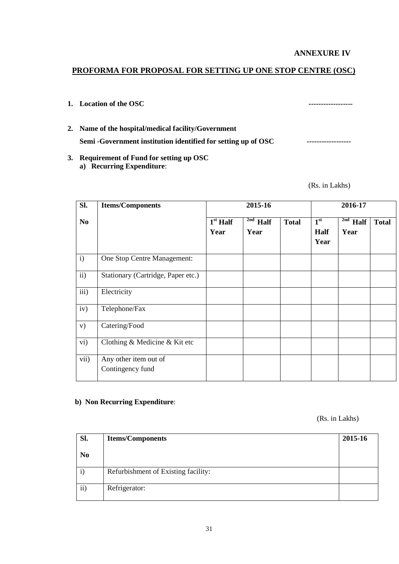**ANNEXURE IV** 

#### **PROFORMA FOR PROPOSAL FOR SETTING UP ONE STOP CENTRE (OSC)**

- **1.** Location of the OSC  $\blacksquare$
- 2. Name of the hospital/medical facility/Government 2. Name of the hospital/medical facility/Government<br>Semi -Government institution identified for setting up of OSC --------------------
- a) Recurring Expenditure: **3. Requirement of Fund for setting up OSC a) Recurring Expenditure:** (Rs. in Lakhs)

| SI.            | <b>Items/Components</b>                   |                                      | 2015-16                              | 2016-17      |                                        |                                  |              |
|----------------|-------------------------------------------|--------------------------------------|--------------------------------------|--------------|----------------------------------------|----------------------------------|--------------|
| N <sub>0</sub> |                                           | $\overline{1}^{\rm st}$ Half<br>Year | $\overline{\text{2nd}}$ Half<br>Year | <b>Total</b> | 1 <sup>st</sup><br><b>Half</b><br>Year | $\overline{^{2nd}}$ Half<br>Year | <b>Total</b> |
| $\mathbf{i}$   | One Stop Centre Management:               |                                      |                                      |              |                                        |                                  |              |
| ii)            | Stationary (Cartridge, Paper etc.)        |                                      |                                      |              |                                        |                                  |              |
| iii)           | Electricity                               |                                      |                                      |              |                                        |                                  |              |
| iv)            | Telephone/Fax                             |                                      |                                      |              |                                        |                                  |              |
| V)             | Catering/Food                             |                                      |                                      |              |                                        |                                  |              |
| vi)            | Clothing & Medicine & Kit etc             |                                      |                                      |              |                                        |                                  |              |
| vii)           | Any other item out of<br>Contingency fund |                                      |                                      |              |                                        |                                  |              |

#### **b) Non Recurring Expenditure**:

(Rs. in Lakhs)

| Sl.            | <b>Items/Components</b>             | 2015-16 |
|----------------|-------------------------------------|---------|
| N <sub>0</sub> |                                     |         |
| $\mathbf{i}$   | Refurbishment of Existing facility: |         |
| ii)            | Refrigerator:                       |         |
|                |                                     |         |
|                | 31                                  |         |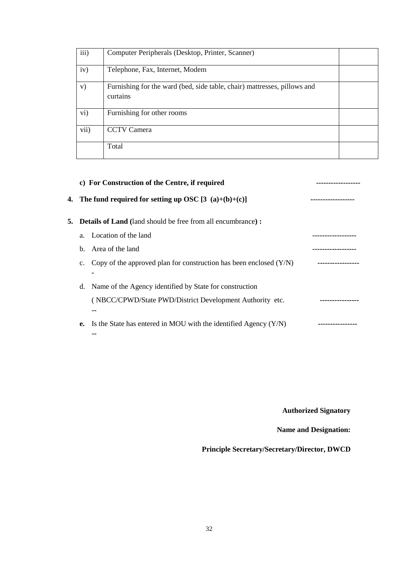| iii)      | Computer Peripherals (Desktop, Printer, Scanner)                                     |  |
|-----------|--------------------------------------------------------------------------------------|--|
| iv)       | Telephone, Fax, Internet, Modem                                                      |  |
| V)        | Furnishing for the ward (bed, side table, chair) mattresses, pillows and<br>curtains |  |
| $\rm vi)$ | Furnishing for other rooms                                                           |  |
| vii)      | <b>CCTV</b> Camera                                                                   |  |
|           | Total                                                                                |  |

|                | c) For Construction of the Centre, if required                        |  |
|----------------|-----------------------------------------------------------------------|--|
|                | 4. The fund required for setting up OSC $[3(a)+(b)+(c)]$              |  |
|                | <b>5.</b> Details of Land (land should be free from all encumbrance): |  |
|                | a. Location of the land                                               |  |
|                | b. Area of the land                                                   |  |
| $\mathbf{c}$ . | Copy of the approved plan for construction has been enclosed $(Y/N)$  |  |
| d.             | Name of the Agency identified by State for construction               |  |
|                | (NBCC/CPWD/State PWD/District Development Authority etc.              |  |
|                | --                                                                    |  |
| е.             | Is the State has entered in MOU with the identified Agency $(Y/N)$    |  |
|                |                                                                       |  |

**Authorized Signatory** 

**Name and Designation:** 

**Principle Secretary/Secretary/Director, DWCD**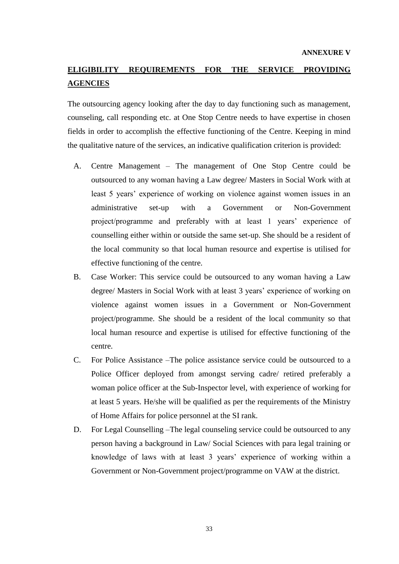### **ELIGIBILITY REQUIREMENTS FOR THE SERVICE PROVIDING AGENCIES**

 The outsourcing agency looking after the day to day functioning such as management, counseling, call responding etc. at One Stop Centre needs to have expertise in chosen fields in order to accomplish the effective functioning of the Centre. Keeping in mind the qualitative nature of the services, an indicative qualification criterion is provided:

- A. Centre Management The management of One Stop Centre could be outsourced to any woman having a Law degree/ Masters in Social Work with at least 5 years' experience of working on violence against women issues in an project/programme and preferably with at least 1 years' experience of counselling either within or outside the same set-up. She should be a resident of administrative set-up with a Government or Non-Government the local community so that local human resource and expertise is utilised for effective functioning of the centre.
- B. Case Worker: This service could be outsourced to any woman having a Law degree/ Masters in Social Work with at least 3 years' experience of working on violence against women issues in a Government or Non-Government project/programme. She should be a resident of the local community so that local human resource and expertise is utilised for effective functioning of the centre.
- C. For Police Assistance –The police assistance service could be outsourced to a Police Officer deployed from amongst serving cadre/ retired preferably a woman police officer at the Sub-Inspector level, with experience of working for at least 5 years. He/she will be qualified as per the requirements of the Ministry of Home Affairs for police personnel at the SI rank.
- D. For Legal Counselling –The legal counseling service could be outsourced to any person having a background in Law/ Social Sciences with para legal training or knowledge of laws with at least 3 years' experience of working within a Government or Non-Government project/programme on VAW at the district.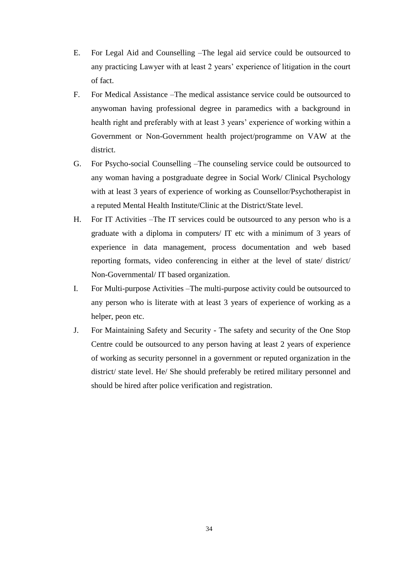- E. For Legal Aid and Counselling –The legal aid service could be outsourced to any practicing Lawyer with at least 2 years' experience of litigation in the court of fact.
- F. For Medical Assistance –The medical assistance service could be outsourced to health right and preferably with at least 3 years' experience of working within a Government or Non-Government health project/programme on VAW at the anywoman having professional degree in paramedics with a background in district.
- G. For Psycho-social Counselling –The counseling service could be outsourced to any woman having a postgraduate degree in Social Work/ Clinical Psychology with at least 3 years of experience of working as Counsellor/Psychotherapist in a reputed Mental Health Institute/Clinic at the District/State level.
- H. For IT Activities –The IT services could be outsourced to any person who is a graduate with a diploma in computers/ IT etc with a minimum of 3 years of experience in data management, process documentation and web based reporting formats, video conferencing in either at the level of state/ district/ Non-Governmental/ IT based organization.
- any person who is literate with at least 3 years of experience of working as a I. For Multi-purpose Activities –The multi-purpose activity could be outsourced to helper, peon etc.
- J. For Maintaining Safety and Security The safety and security of the One Stop Centre could be outsourced to any person having at least 2 years of experience of working as security personnel in a government or reputed organization in the district/ state level. He/ She should preferably be retired military personnel and should be hired after police verification and registration.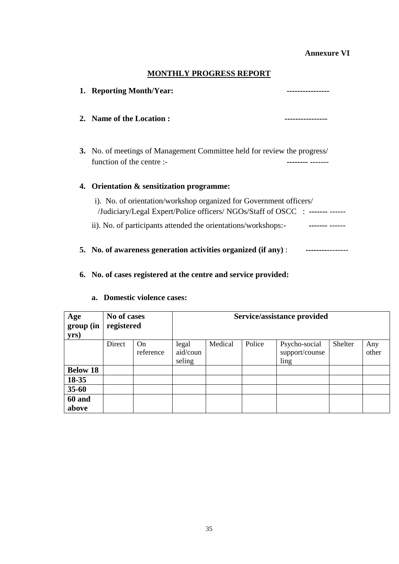#### **Annexure VI**

#### **MONTHLY PROGRESS REPORT**

|    | 1. Reporting Month/Year:                                                                                                                           |  |
|----|----------------------------------------------------------------------------------------------------------------------------------------------------|--|
|    | 2. Name of the Location:                                                                                                                           |  |
|    | 3. No. of meetings of Management Committee held for review the progress/<br>function of the centre :-                                              |  |
| 4. | Orientation & sensitization programme:                                                                                                             |  |
|    | i). No. of orientation/workshop organized for Government officers/<br>/Judiciary/Legal Expert/Police officers/ NGOs/Staff of OSCC : ------- ------ |  |
|    | ii). No. of participants attended the orientations/workshops:-                                                                                     |  |
|    | 5. No. of awareness generation activities organized (if any):                                                                                      |  |

#### **6. No. of cases registered at the centre and service provided:**

| Age<br>group (in<br>yrs) | No of cases<br>registered |                 | Service/assistance provided |         |        |                                         |         |              |
|--------------------------|---------------------------|-----------------|-----------------------------|---------|--------|-----------------------------------------|---------|--------------|
|                          | Direct                    | On<br>reference | legal<br>aid/coun<br>seling | Medical | Police | Psycho-social<br>support/counse<br>ling | Shelter | Any<br>other |
| <b>Below 18</b>          |                           |                 |                             |         |        |                                         |         |              |
| 18-35                    |                           |                 |                             |         |        |                                         |         |              |
| $35 - 60$                |                           |                 |                             |         |        |                                         |         |              |
| 60 and<br>above          |                           |                 |                             |         |        |                                         |         |              |

#### **a. Domestic violence cases:**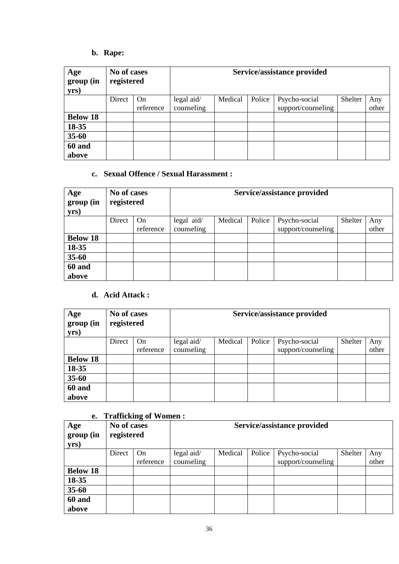### b. Rape:

|                          | b. Rape:                  |           |                             |         |        |                    |         |       |  |  |
|--------------------------|---------------------------|-----------|-----------------------------|---------|--------|--------------------|---------|-------|--|--|
| Age<br>group (in<br>yrs) | No of cases<br>registered |           | Service/assistance provided |         |        |                    |         |       |  |  |
|                          | Direct                    | On        | legal aid/                  | Medical | Police | Psycho-social      | Shelter | Any   |  |  |
|                          |                           | reference | counseling                  |         |        | support/counseling |         | other |  |  |
| <b>Below 18</b>          |                           |           |                             |         |        |                    |         |       |  |  |
| 18-35                    |                           |           |                             |         |        |                    |         |       |  |  |
| $35 - 60$                |                           |           |                             |         |        |                    |         |       |  |  |
| 60 and<br>above          |                           |           |                             |         |        |                    |         |       |  |  |

### **c. Sexual Offence / Sexual Harassment :**

| Age<br>group (in<br>yrs) | No of cases<br>registered |           | Service/assistance provided |         |        |                    |         |       |  |
|--------------------------|---------------------------|-----------|-----------------------------|---------|--------|--------------------|---------|-------|--|
|                          | Direct                    | On        | legal aid/                  | Medical | Police | Psycho-social      | Shelter | Any   |  |
|                          |                           | reference | counseling                  |         |        | support/counseling |         | other |  |
| <b>Below 18</b>          |                           |           |                             |         |        |                    |         |       |  |
| 18-35                    |                           |           |                             |         |        |                    |         |       |  |
| $35 - 60$                |                           |           |                             |         |        |                    |         |       |  |
| 60 and                   |                           |           |                             |         |        |                    |         |       |  |
| above                    |                           |           |                             |         |        |                    |         |       |  |

### d. Acid Attack:

| Age<br>group (in<br>yrs) | No of cases<br>registered |           | Service/assistance provided |         |        |                    |         |       |  |
|--------------------------|---------------------------|-----------|-----------------------------|---------|--------|--------------------|---------|-------|--|
|                          | Direct                    | On        | legal aid/                  | Medical | Police | Psycho-social      | Shelter | Any   |  |
|                          |                           | reference | counseling                  |         |        | support/counseling |         | other |  |
| <b>Below 18</b>          |                           |           |                             |         |        |                    |         |       |  |
| 18-35                    |                           |           |                             |         |        |                    |         |       |  |
| $35 - 60$                |                           |           |                             |         |        |                    |         |       |  |
| 60 and<br>above          |                           |           |                             |         |        |                    |         |       |  |

#### **e. Trafficking of Women :**

|                          |                           | Transforme of Women. |            |         |        |                             |         |       |
|--------------------------|---------------------------|----------------------|------------|---------|--------|-----------------------------|---------|-------|
| Age<br>group (in<br>yrs) | No of cases<br>registered |                      |            |         |        | Service/assistance provided |         |       |
|                          | Direct                    | <b>On</b>            | legal aid/ | Medical | Police | Psycho-social               | Shelter | Any   |
|                          |                           | reference            | counseling |         |        | support/counseling          |         | other |
| <b>Below 18</b>          |                           |                      |            |         |        |                             |         |       |
| 18-35                    |                           |                      |            |         |        |                             |         |       |
| $35 - 60$                |                           |                      |            |         |        |                             |         |       |
| 60 and                   |                           |                      |            |         |        |                             |         |       |
| above                    |                           |                      |            |         |        |                             |         |       |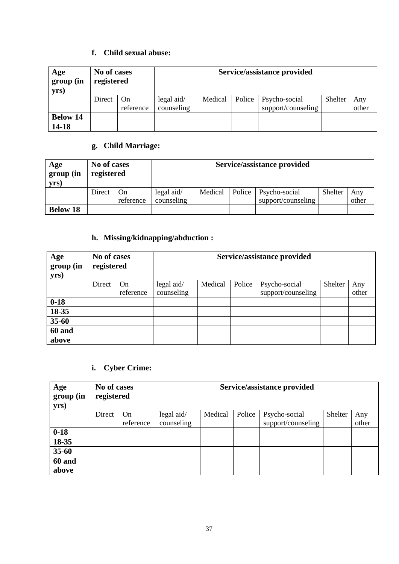#### **f. Child sexual abuse:**

| Age<br>group (in<br>yrs) | No of cases<br>registered |                 |                                  |         |        | Service/assistance provided         |         |              |
|--------------------------|---------------------------|-----------------|----------------------------------|---------|--------|-------------------------------------|---------|--------------|
|                          | Direct                    | On<br>reference | $\text{legal aid}$<br>counseling | Medical | Police | Psycho-social<br>support/counseling | Shelter | Any<br>other |
| <b>Below 14</b>          |                           |                 |                                  |         |        |                                     |         |              |
| 14-18                    |                           |                 |                                  |         |        |                                     |         |              |

### g. Child Marriage:

| g. Child Marriage:       |                           |                 |                                  |                             |        |                                     |         |              |  |
|--------------------------|---------------------------|-----------------|----------------------------------|-----------------------------|--------|-------------------------------------|---------|--------------|--|
| Age<br>group (in<br>yrs) | No of cases<br>registered |                 |                                  | Service/assistance provided |        |                                     |         |              |  |
|                          | Direct                    | On<br>reference | $\text{legal aid}$<br>counseling | Medical                     | Police | Psycho-social<br>support/counseling | Shelter | Any<br>other |  |
| <b>Below 18</b>          |                           |                 |                                  |                             |        |                                     |         |              |  |

#### **h. Missing/kidnapping/abduction :**

| Age<br>group (in<br>yrs) | No of cases<br>registered |                 | Service/assistance provided |         |        |                                     |         |              |  |
|--------------------------|---------------------------|-----------------|-----------------------------|---------|--------|-------------------------------------|---------|--------------|--|
|                          | Direct                    | On<br>reference | legal aid/<br>counseling    | Medical | Police | Psycho-social<br>support/counseling | Shelter | Any<br>other |  |
| $0 - 18$                 |                           |                 |                             |         |        |                                     |         |              |  |
| 18-35                    |                           |                 |                             |         |        |                                     |         |              |  |
| $35 - 60$                |                           |                 |                             |         |        |                                     |         |              |  |
| <b>60 and</b>            |                           |                 |                             |         |        |                                     |         |              |  |
| above                    |                           |                 |                             |         |        |                                     |         |              |  |

### **i. Cyber Crime:**

| Age<br>group (in<br>yrs) | No of cases<br>registered |           | Service/assistance provided |         |        |                    |         |       |  |
|--------------------------|---------------------------|-----------|-----------------------------|---------|--------|--------------------|---------|-------|--|
|                          | Direct                    | <b>On</b> | legal aid/                  | Medical | Police | Psycho-social      | Shelter | Any   |  |
|                          |                           | reference | counseling                  |         |        | support/counseling |         | other |  |
| $0 - 18$                 |                           |           |                             |         |        |                    |         |       |  |
| 18-35                    |                           |           |                             |         |        |                    |         |       |  |
| $35 - 60$                |                           |           |                             |         |        |                    |         |       |  |
| 60 and                   |                           |           |                             |         |        |                    |         |       |  |
| above                    |                           |           |                             |         |        |                    |         |       |  |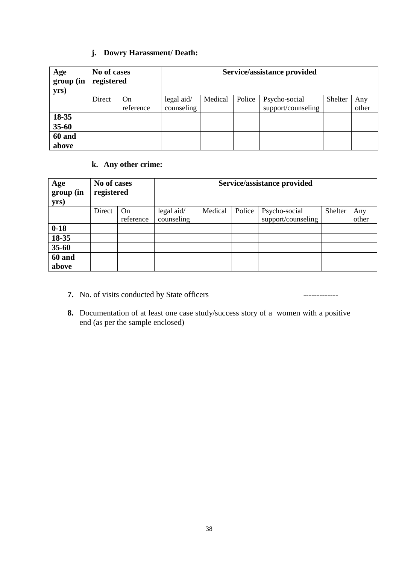#### **j. Dowry Harassment/ Death:**

| Age<br>group (in<br>yrs) | No of cases<br>registered |           | Service/assistance provided |         |        |                    |         |       |  |
|--------------------------|---------------------------|-----------|-----------------------------|---------|--------|--------------------|---------|-------|--|
|                          | Direct                    | On        | legal aid/                  | Medical | Police | Psycho-social      | Shelter | Any   |  |
|                          |                           | reference | counseling                  |         |        | support/counseling |         | other |  |
| 18-35                    |                           |           |                             |         |        |                    |         |       |  |
| $35 - 60$                |                           |           |                             |         |        |                    |         |       |  |
| 60 and<br>above          |                           |           |                             |         |        |                    |         |       |  |

#### **k. Any other crime:**

| Age<br>group (in<br>yrs) | No of cases<br>registered |           | Service/assistance provided |         |        |                    |         |       |  |
|--------------------------|---------------------------|-----------|-----------------------------|---------|--------|--------------------|---------|-------|--|
|                          | Direct                    | On        | legal aid/                  | Medical | Police | Psycho-social      | Shelter | Any   |  |
|                          |                           | reference | counseling                  |         |        | support/counseling |         | other |  |
| $0 - 18$                 |                           |           |                             |         |        |                    |         |       |  |
| 18-35                    |                           |           |                             |         |        |                    |         |       |  |
| $35 - 60$                |                           |           |                             |         |        |                    |         |       |  |
| 60 and                   |                           |           |                             |         |        |                    |         |       |  |
| above                    |                           |           |                             |         |        |                    |         |       |  |

- **7.** No. of visits conducted by State officers -------------
- **8.** Documentation of at least one case study/success story of a women with a positive end (as per the sample enclosed)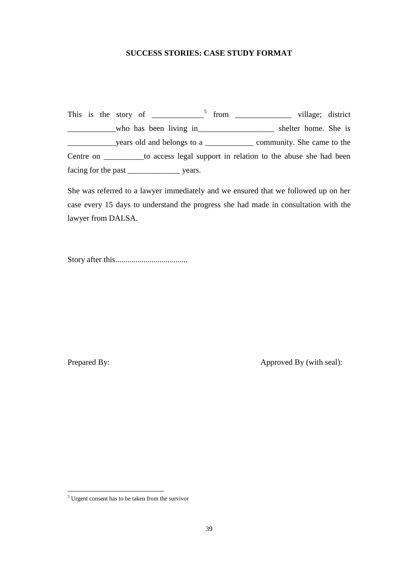#### **SUCCESS STORIES: CASE STUDY FORMAT**

This is the story of  $\frac{5}{\sqrt{25}}$  from  $\frac{1}{\sqrt{25}}$  village; district who has been living in\_\_\_\_\_\_\_\_\_\_\_\_\_\_\_\_\_\_\_\_\_ shelter home. She is \_\_\_\_\_\_\_\_\_\_\_\_years old and belongs to a \_\_\_\_\_\_\_\_\_\_\_\_ community. She came to the Centre on \_\_\_\_\_\_\_\_\_\_to access legal support in relation to the abuse she had been facing for the past \_\_\_\_\_\_\_\_\_\_\_\_\_\_\_\_\_\_\_ years.

 She was referred to a lawyer immediately and we ensured that we followed up on her case every 15 days to understand the progress she had made in consultation with the lawyer from DALSA.

Story after this....................................

Prepared By:

 $\overline{a}$ 

Approved By (with seal):

 $<sup>5</sup>$  Urgent consent has to be taken from the survivor</sup>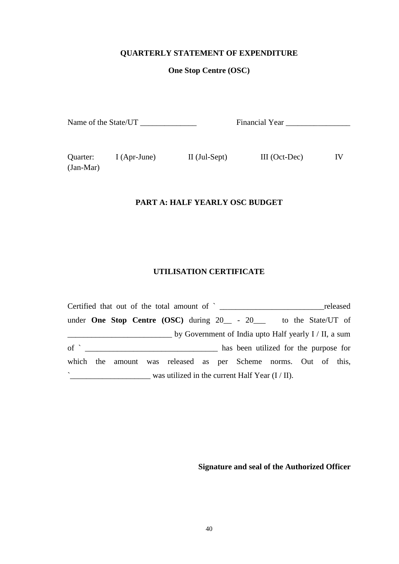#### **QUARTERLY STATEMENT OF EXPENDITURE**

#### **One Stop Centre (OSC)**

| Name of the State/UT | <b>Financial Year</b> |
|----------------------|-----------------------|
|----------------------|-----------------------|

Quarter: (Jan-Mar)

I (Apr-June) II (Jul-Sept) III (Oct-Dec)

IV

#### **PART A: HALF YEARLY OSC BUDGET**

#### **UTILISATION CERTIFICATE**

|                   |  |  |  |                                                                          |  | released |
|-------------------|--|--|--|--------------------------------------------------------------------------|--|----------|
|                   |  |  |  | under <b>One Stop Centre (OSC)</b> during $20 - 20$ - to the State/UT of |  |          |
|                   |  |  |  | $\equiv$ by Government of India upto Half yearly I / II, a sum           |  |          |
| $\circ$ f $\circ$ |  |  |  | has been utilized for the purpose for                                    |  |          |
|                   |  |  |  | which the amount was released as per Scheme norms. Out of this,          |  |          |
| $\sim$            |  |  |  | was utilized in the current Half Year $(I / II)$ .                       |  |          |

**Signature and seal of the Authorized Officer**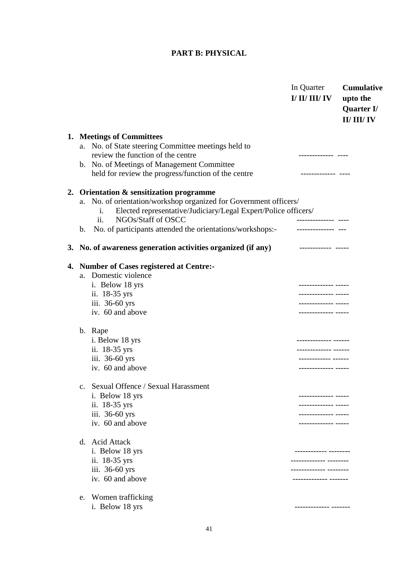#### **PART B: PHYSICAL**

|    |    |                                                                      | In Quarter<br>I/ II/ III/ IV        | <b>Cumulative</b><br>upto the<br>Quarter I/ |
|----|----|----------------------------------------------------------------------|-------------------------------------|---------------------------------------------|
|    |    |                                                                      |                                     | II/III/IV                                   |
|    |    | 1. Meetings of Committees                                            |                                     |                                             |
|    | a. | No. of State steering Committee meetings held to                     |                                     |                                             |
|    |    | review the function of the centre                                    | ------------- ----                  |                                             |
|    |    | b. No. of Meetings of Management Committee                           |                                     |                                             |
|    |    | held for review the progress/function of the centre                  |                                     |                                             |
| 2. |    | Orientation & sensitization programme                                |                                     |                                             |
|    |    | a. No. of orientation/workshop organized for Government officers/    |                                     |                                             |
|    |    | Elected representative/Judiciary/Legal Expert/Police officers/<br>1. |                                     |                                             |
|    |    | ii.<br>NGOs/Staff of OSCC                                            |                                     |                                             |
|    | b. | No. of participants attended the orientations/workshops:-            |                                     |                                             |
|    |    | 3. No. of awareness generation activities organized (if any)         | ------------- -----                 |                                             |
| 4. |    | <b>Number of Cases registered at Centre:-</b>                        |                                     |                                             |
|    | a. | Domestic violence                                                    |                                     |                                             |
|    |    | i. Below 18 yrs                                                      | ------------ -----                  |                                             |
|    |    | ii. 18-35 yrs                                                        | ------------ -----                  |                                             |
|    |    | iii. 36-60 yrs                                                       | . _ _ _ _ _ _ _ _ _ _ _ _ _ _ _     |                                             |
|    |    | iv. 60 and above                                                     | . <u></u>                           |                                             |
|    |    | b. Rape                                                              |                                     |                                             |
|    |    | i. Below 18 yrs                                                      | ------------ ------                 |                                             |
|    |    | ii. 18-35 yrs                                                        | ------------ ------                 |                                             |
|    |    | iii. 36-60 yrs                                                       | ---------- ------                   |                                             |
|    |    | iv. 60 and above                                                     | . _ _ _ _ _ _ _ _ _ _ _ _ _ _ _ _ _ |                                             |
|    |    | Sexual Offence / Sexual Harassment                                   |                                     |                                             |
|    |    | i. Below 18 yrs                                                      | ---------- ----                     |                                             |
|    |    | ii. 18-35 yrs                                                        | ----------- ---                     |                                             |
|    |    | iii. 36-60 yrs                                                       | .                                   |                                             |
|    |    | iv. 60 and above                                                     | . <u> </u> .                        |                                             |
|    |    | d. Acid Attack                                                       |                                     |                                             |
|    |    | i. Below 18 yrs                                                      | ---------- -------                  |                                             |
|    |    | ii. 18-35 yrs                                                        | ----------- -------                 |                                             |
|    |    | iii. 36-60 yrs                                                       | ----------- -----                   |                                             |
|    |    | iv. 60 and above                                                     | ------------ -------                |                                             |
|    |    | e. Women trafficking                                                 |                                     |                                             |
|    |    | i. Below 18 yrs                                                      | -------------- -------              |                                             |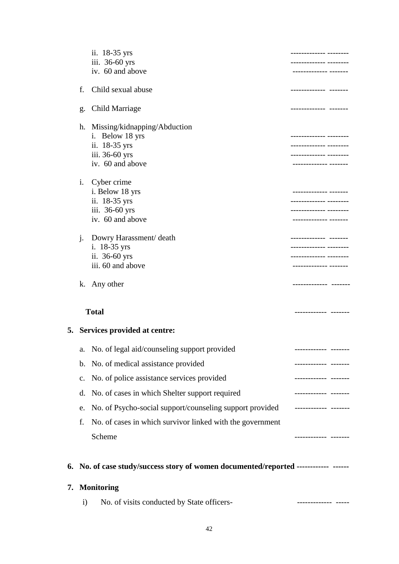|    |                | ii. 18-35 yrs                                                                       | ----------- --------                          |
|----|----------------|-------------------------------------------------------------------------------------|-----------------------------------------------|
|    |                | iii. 36-60 yrs                                                                      | ------------ --------                         |
|    |                | iv. 60 and above                                                                    | ------------ -------                          |
|    | f.             | Child sexual abuse                                                                  | -------------- -------                        |
|    | g.             | <b>Child Marriage</b>                                                               | ------------- ------                          |
|    |                | h. Missing/kidnapping/Abduction                                                     |                                               |
|    |                | i. Below 18 yrs                                                                     | --------- --------                            |
|    |                | ii. 18-35 yrs<br>iii. 36-60 yrs                                                     | ---------- ------<br>------------ -----       |
|    |                | iv. 60 and above                                                                    | ---------- ------                             |
|    | $\mathbf{i}$ . | Cyber crime                                                                         |                                               |
|    |                | i. Below 18 yrs<br>ii. 18-35 yrs                                                    | ------------- -------<br>------------ ------- |
|    |                | iii. 36-60 yrs                                                                      | ---------- ---                                |
|    |                | iv. 60 and above                                                                    | ------------- ------                          |
|    | $\mathbf{i}$ . | Dowry Harassment/ death                                                             | ------------- -------                         |
|    |                | i. 18-35 yrs                                                                        |                                               |
|    |                | ii. 36-60 yrs<br>iii. 60 and above                                                  | ----------- -------<br>------------- -------  |
|    |                |                                                                                     |                                               |
|    |                | k. Any other                                                                        |                                               |
|    |                |                                                                                     |                                               |
|    |                | <b>Total</b>                                                                        | ------------- -------                         |
|    |                | 5. Services provided at centre:                                                     |                                               |
|    | a.             | No. of legal aid/counseling support provided                                        |                                               |
|    | $\mathbf b$ .  | No. of medical assistance provided                                                  | ------------ -------                          |
|    | $C_{\bullet}$  | No. of police assistance services provided                                          | ------------ -------                          |
|    | d.             | No. of cases in which Shelter support required                                      |                                               |
|    | e.             | No. of Psycho-social support/counseling support provided                            | ------------- -------                         |
|    | f.             | No. of cases in which survivor linked with the government                           |                                               |
|    |                | Scheme                                                                              | --------- -------                             |
|    |                | 6. No. of case study/success story of women documented/reported ------------ ------ |                                               |
| 7. |                |                                                                                     |                                               |
|    | $\mathbf{i}$   | <b>Monitoring</b><br>No. of visits conducted by State officers-                     |                                               |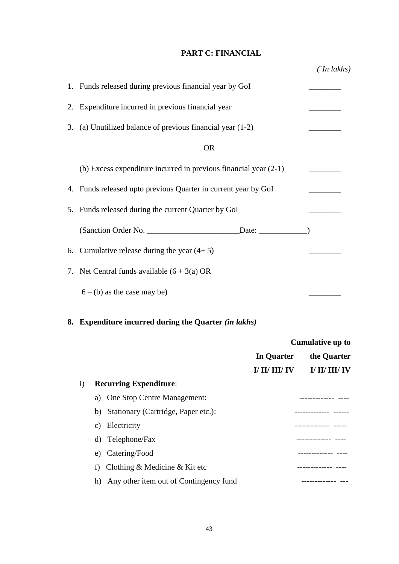#### **PART C: FINANCIAL**

| 1. Funds released during previous financial year by GoI            |  |
|--------------------------------------------------------------------|--|
| 2. Expenditure incurred in previous financial year                 |  |
| 3. (a) Unutilized balance of previous financial year (1-2)         |  |
| <b>OR</b>                                                          |  |
| (b) Excess expenditure incurred in previous financial year $(2-1)$ |  |
| 4. Funds released upto previous Quarter in current year by GoI     |  |
| 5. Funds released during the current Quarter by GoI                |  |
| Date: $\qquad \qquad$                                              |  |
| 6. Cumulative release during the year $(4+5)$                      |  |
| 7. Net Central funds available $(6 + 3(a)$ OR                      |  |
| $6 - (b)$ as the case may be)                                      |  |

### **8. Expenditure incurred during the Quarter** *(in lakhs)*

|                              |    |                                        | <b>Cumulative up to</b> |                |
|------------------------------|----|----------------------------------------|-------------------------|----------------|
|                              |    |                                        | In Quarter              | the Quarter    |
|                              |    |                                        | I/ II/ III/ IV          | I/ II/ III/ IV |
| $\left( \frac{1}{2} \right)$ |    | <b>Recurring Expenditure:</b>          |                         |                |
|                              | a) | One Stop Centre Management:            |                         |                |
|                              |    | b) Stationary (Cartridge, Paper etc.): |                         |                |
|                              | C) | Electricity                            |                         |                |
|                              | d) | Telephone/Fax                          |                         |                |
|                              | e) | Catering/Food                          |                         |                |
|                              |    | Clothing & Medicine & Kit etc          |                         | -----------    |
|                              | h) | Any other item out of Contingency fund |                         |                |
|                              |    |                                        |                         |                |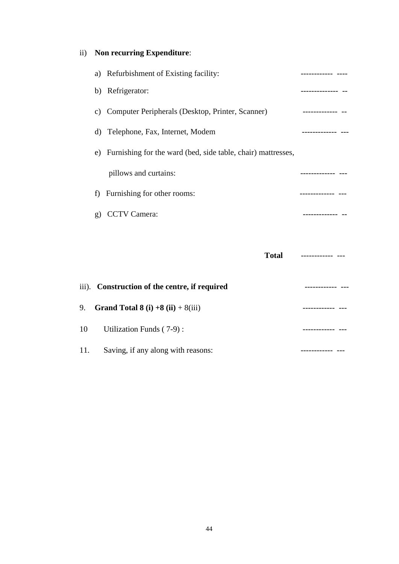### ii) **Non recurring Expenditure**:

|     |               | a) Refurbishment of Existing facility:                          | ----------- ----   |
|-----|---------------|-----------------------------------------------------------------|--------------------|
|     |               | b) Refrigerator:                                                | -------------- --  |
|     | $\mathbf{c})$ | Computer Peripherals (Desktop, Printer, Scanner)                | __________________ |
|     | d)            | Telephone, Fax, Internet, Modem                                 |                    |
|     |               | e) Furnishing for the ward (bed, side table, chair) mattresses, |                    |
|     |               | pillows and curtains:                                           |                    |
|     | f)            | Furnishing for other rooms:                                     | -------------- --- |
|     | g)            | <b>CCTV</b> Camera:                                             |                    |
|     |               |                                                                 |                    |
|     |               |                                                                 | Total ------------ |
|     |               | iii). Construction of the centre, if required                   |                    |
| 9.  |               | Grand Total 8 (i) $+8$ (ii) $+8$ (iii)                          |                    |
| 10  |               | Utilization Funds (7-9):                                        | ------------ ---   |
| 11. |               | Saving, if any along with reasons:                              |                    |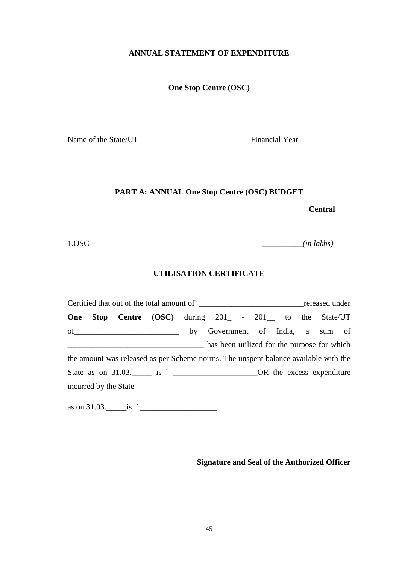#### **ANNUAL STATEMENT OF EXPENDITURE**

#### **One Stop Centre (OSC)**

Name of the State/UT \_\_\_\_\_\_\_ Financial Year \_\_\_\_\_\_\_\_\_\_\_

#### **PART A: ANNUAL One Stop Centre (OSC) BUDGET**

**Central** 

1.OSC

1.OSC \_\_\_\_\_\_\_\_\_\_*(in lakhs)* 

#### **UTILISATION CERTIFICATE**

 Certified that out of the total amount of` \_\_\_\_\_\_\_\_\_\_\_\_\_\_\_\_\_\_\_\_\_\_\_\_\_\_released under **One Stop Centre (OSC)** during 201<sub>-</sub> - 201<sub>-</sub> to the State/UT of\_\_\_\_\_\_\_\_\_\_\_\_\_\_\_\_\_\_\_\_\_\_\_\_\_\_ by Government of India, a sum of **EXECUTE:** Thus been utilized for the purpose for which the amount was released as per Scheme norms. The unspent balance available with the State as on 31.03. is is  $OR$  the excess expenditure incurred by the State

as on 31.03.\_\_\_\_\_is ` \_\_\_\_\_\_\_\_\_\_\_\_\_\_\_\_\_\_\_.

**Signature and Seal of the Authorized Officer**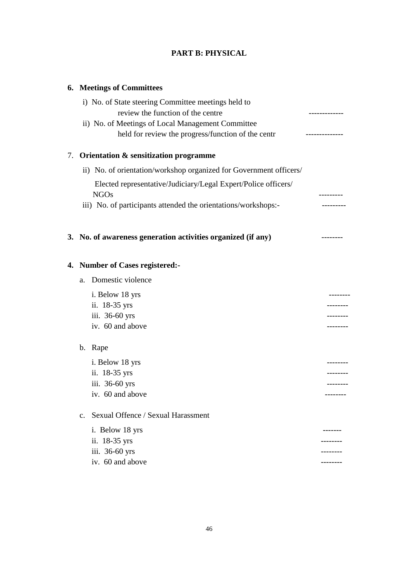### **PART B: PHYSICAL**

### **6. Meetings of Committees**

|    | i) No. of State steering Committee meetings held to                           |             |
|----|-------------------------------------------------------------------------------|-------------|
|    | review the function of the centre                                             | ----------- |
|    | ii) No. of Meetings of Local Management Committee                             |             |
|    | held for review the progress/function of the centr                            |             |
| 7. | Orientation & sensitization programme                                         |             |
|    | ii) No. of orientation/workshop organized for Government officers/            |             |
|    | Elected representative/Judiciary/Legal Expert/Police officers/<br><b>NGOs</b> |             |
|    | iii) No. of participants attended the orientations/workshops:-                |             |
|    | 3. No. of awareness generation activities organized (if any)                  | --------    |
|    | 4. Number of Cases registered:-                                               |             |
|    | Domestic violence<br>a.                                                       |             |
|    | i. Below 18 yrs                                                               |             |
|    | ii. 18-35 yrs                                                                 |             |
|    | iii. 36-60 yrs                                                                |             |
|    | iv. 60 and above                                                              | ---------   |
|    | b. Rape                                                                       |             |
|    | i. Below 18 yrs                                                               |             |
|    | ii. 18-35 yrs                                                                 |             |
|    | iii. 36-60 yrs                                                                |             |
|    | iv. 60 and above                                                              |             |
|    | Sexual Offence / Sexual Harassment<br>$\mathbf{c}$ .                          |             |
|    | i. Below 18 yrs                                                               | --------    |
|    | ii. 18-35 yrs                                                                 |             |
|    | iii. 36-60 yrs                                                                |             |
|    | iv. 60 and above                                                              |             |
|    |                                                                               |             |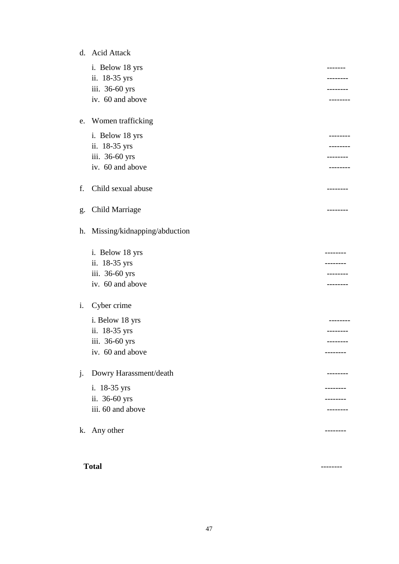|    | d. Acid Attack               |                 |
|----|------------------------------|-----------------|
|    | i. Below 18 yrs              |                 |
|    | ii. 18-35 yrs                |                 |
|    | iii. 36-60 yrs               |                 |
|    | iv. 60 and above             |                 |
| e. | Women trafficking            |                 |
|    | i. Below 18 yrs              |                 |
|    | ii. 18-35 yrs                |                 |
|    | iii. 36-60 yrs               |                 |
|    | iv. 60 and above             | -------         |
| f. | Child sexual abuse           | ---------       |
| g. | Child Marriage               | --------        |
| h. | Missing/kidnapping/abduction |                 |
|    | i. Below 18 yrs              |                 |
|    | ii. 18-35 yrs                |                 |
|    | iii. 36-60 yrs               |                 |
|    | iv. 60 and above             | . _ _ _ _ _ _ _ |
| i. | Cyber crime                  |                 |
|    | i. Below 18 yrs              | . - - - - - - - |
|    | ii. 18-35 yrs                |                 |
|    | iii. 36-60 yrs               | --------        |
|    | iv. 60 and above             | --------        |
| j. | Dowry Harassment/death       | --------        |
|    | i. 18-35 yrs                 | --------        |
|    | ii. 36-60 yrs                |                 |
|    | iii. 60 and above            |                 |
| k. | Any other                    | --------        |
|    |                              |                 |

#### **Total** --------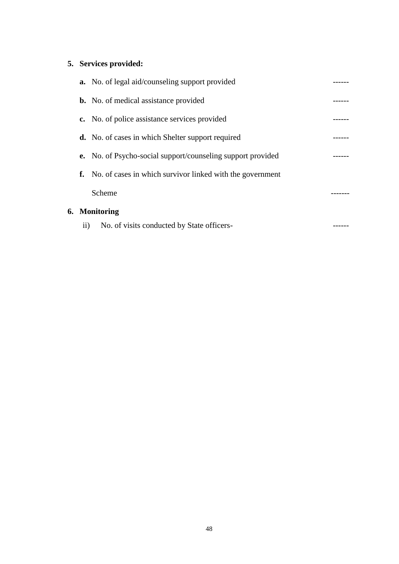### **5. Services provided:**

**6. Monitoring** 

|                 | <b>a.</b> No. of legal aid/counseling support provided              |  |
|-----------------|---------------------------------------------------------------------|--|
|                 | <b>b.</b> No. of medical assistance provided                        |  |
|                 | c. No. of police assistance services provided                       |  |
|                 | <b>d.</b> No. of cases in which Shelter support required            |  |
|                 | <b>e.</b> No. of Psycho-social support/counseling support provided  |  |
|                 | <b>f.</b> No. of cases in which survivor linked with the government |  |
|                 | Scheme                                                              |  |
|                 | <b>Monitoring</b>                                                   |  |
| $\overline{11}$ | No. of visits conducted by State officers-                          |  |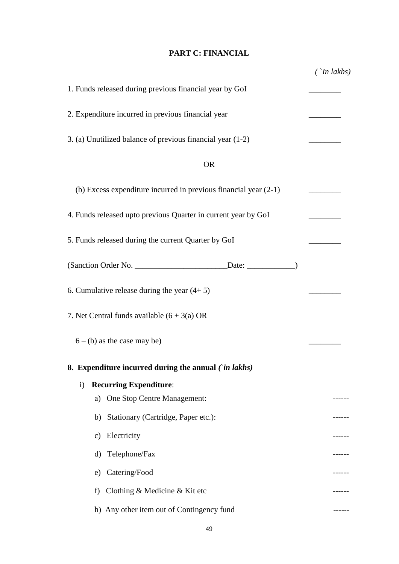### **PART C: FINANCIAL**

|                                                                                   | $\int$ In lakhs) |
|-----------------------------------------------------------------------------------|------------------|
| 1. Funds released during previous financial year by GoI                           |                  |
| 2. Expenditure incurred in previous financial year                                |                  |
| 3. (a) Unutilized balance of previous financial year (1-2)                        |                  |
| <b>OR</b>                                                                         |                  |
| (b) Excess expenditure incurred in previous financial year $(2-1)$                |                  |
| 4. Funds released upto previous Quarter in current year by GoI                    |                  |
| 5. Funds released during the current Quarter by GoI                               |                  |
| (Sanction Order No. __________________________________Date: ____________________) |                  |
| 6. Cumulative release during the year $(4+5)$                                     |                  |
| 7. Net Central funds available $(6 + 3(a)$ OR                                     |                  |
| $6 - (b)$ as the case may be)                                                     |                  |
| 8. Expenditure incurred during the annual (in lakhs)                              |                  |
| <b>Recurring Expenditure:</b><br>$\mathbf{i}$                                     |                  |
| One Stop Centre Management:<br>a)                                                 | ------           |
| Stationary (Cartridge, Paper etc.):<br>b)                                         |                  |
| Electricity<br>c)                                                                 |                  |
| Telephone/Fax<br>d)                                                               |                  |
| Catering/Food<br>e)                                                               | ------           |
| Clothing & Medicine & Kit etc<br>f)                                               |                  |
| h) Any other item out of Contingency fund                                         |                  |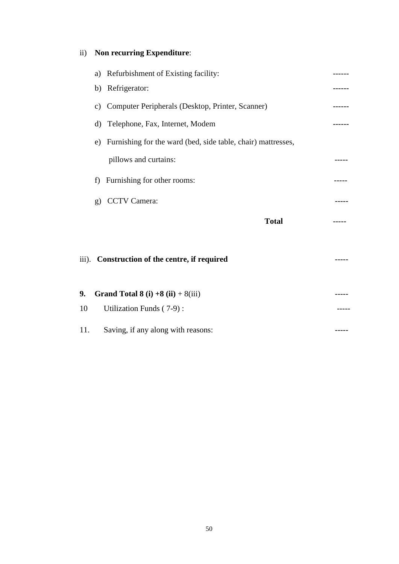### ii) **Non recurring Expenditure**:

|     | a)           | Refurbishment of Existing facility:                             |  |
|-----|--------------|-----------------------------------------------------------------|--|
|     | b)           | Refrigerator:                                                   |  |
|     | C)           | Computer Peripherals (Desktop, Printer, Scanner)                |  |
|     | d)           | Telephone, Fax, Internet, Modem                                 |  |
|     |              | e) Furnishing for the ward (bed, side table, chair) mattresses, |  |
|     |              | pillows and curtains:                                           |  |
|     | f            | Furnishing for other rooms:                                     |  |
|     | $\mathbf{g}$ | <b>CCTV</b> Camera:                                             |  |
|     |              | <b>Total</b>                                                    |  |
|     |              |                                                                 |  |
|     |              | iii). Construction of the centre, if required                   |  |
|     |              |                                                                 |  |
| 9.  |              | Grand Total 8 (i) $+8$ (ii) $+8$ (iii)                          |  |
| 10  |              | Utilization Funds (7-9):                                        |  |
| 11. |              | Saving, if any along with reasons:                              |  |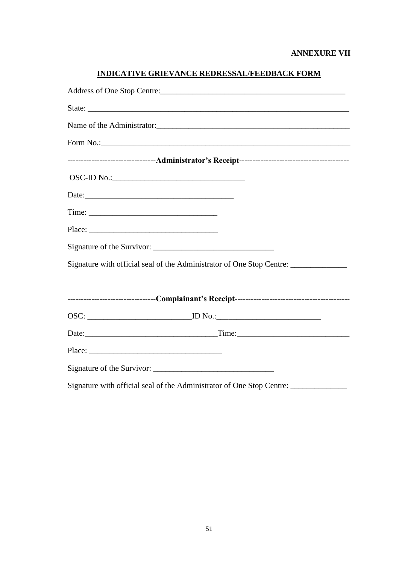| Form No.: 1000 Contract to the Contract of the Contract of the Contract of the Contract of the Contract of the Contract of the Contract of the Contract of the Contract of the Contract of the Contract of the Contract of the |
|--------------------------------------------------------------------------------------------------------------------------------------------------------------------------------------------------------------------------------|
|                                                                                                                                                                                                                                |
|                                                                                                                                                                                                                                |
|                                                                                                                                                                                                                                |
|                                                                                                                                                                                                                                |
|                                                                                                                                                                                                                                |
|                                                                                                                                                                                                                                |
| Signature with official seal of the Administrator of One Stop Centre: ___________                                                                                                                                              |
|                                                                                                                                                                                                                                |
|                                                                                                                                                                                                                                |
|                                                                                                                                                                                                                                |
|                                                                                                                                                                                                                                |
| Place:                                                                                                                                                                                                                         |
|                                                                                                                                                                                                                                |
| Signature with official seal of the Administrator of One Stop Centre: ___________                                                                                                                                              |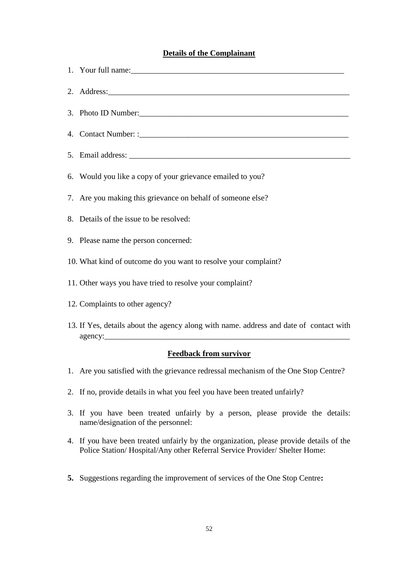#### **Details of the Complainant**

- 1. Your full name:\_\_\_\_\_\_\_\_\_\_\_\_\_\_\_\_\_\_\_\_\_\_\_\_\_\_\_\_\_\_\_\_\_\_\_\_\_\_\_\_\_\_\_\_\_\_\_\_\_\_\_\_\_
- 2. Address:
- 3. Photo ID Number:
- 4. Contact Number: :\_\_\_\_\_\_\_\_\_\_\_\_\_\_\_\_\_\_\_\_\_\_\_\_\_\_\_\_\_\_\_\_\_\_\_\_\_\_\_\_\_\_\_\_\_\_\_\_\_\_\_\_
- 5. Email address:
- 6. Would you like a copy of your grievance emailed to you?
- 7. Are you making this grievance on behalf of someone else?
- 8. Details of the issue to be resolved:
- 9. Please name the person concerned:
- 10. What kind of outcome do you want to resolve your complaint?
- 11. Other ways you have tried to resolve your complaint?
- 12. Complaints to other agency?
- 13. If Yes, details about the agency along with name. address and date of contact with agency:

#### **Feedback from survivor**

- 1. Are you satisfied with the grievance redressal mechanism of the One Stop Centre? 2. If no, provide details in what you feel you have been treated unfairly?
- 
- 3. If you have been treated unfairly by a person, please provide the details: name/designation of the personnel: name/designation of the personnel:<br>4. If you have been treated unfairly by the organization, please provide details of the
- Police Station/ Hospital/Any other Referral Service Provider/ Shelter Home:
- **5.** Suggestions regarding the improvement of services of the One Stop Centre**:**